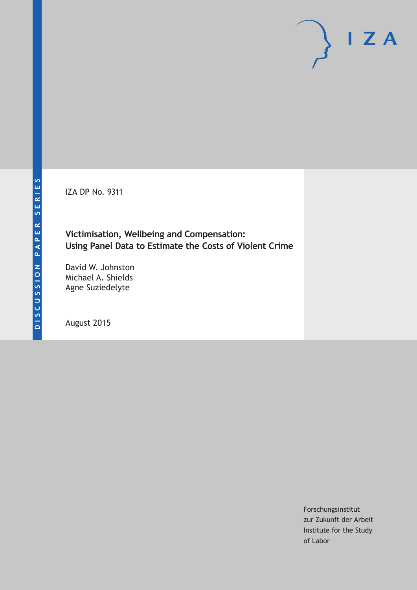IZA DP No. 9311

**Victimisation, Wellbeing and Compensation: Using Panel Data to Estimate the Costs of Violent Crime**

David W. Johnston Michael A. Shields Agne Suziedelyte

August 2015

Forschungsinstitut zur Zukunft der Arbeit Institute for the Study of Labor

 $I Z A$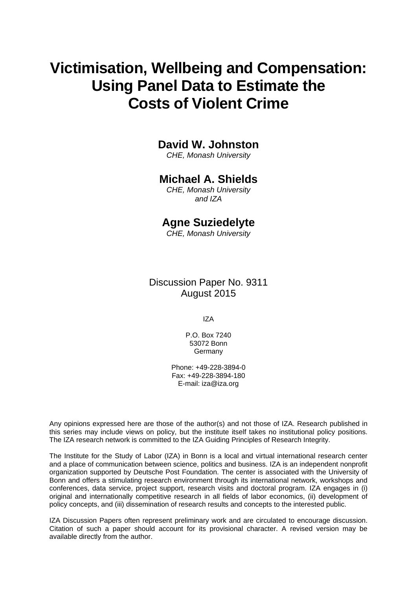# **Victimisation, Wellbeing and Compensation: Using Panel Data to Estimate the Costs of Violent Crime**

## **David W. Johnston**

*CHE, Monash University* 

## **Michael A. Shields**

*CHE, Monash University and IZA* 

### **Agne Suziedelyte**

*CHE, Monash University*

Discussion Paper No. 9311 August 2015

IZA

P.O. Box 7240 53072 Bonn **Germany** 

Phone: +49-228-3894-0 Fax: +49-228-3894-180 E-mail: iza@iza.org

Any opinions expressed here are those of the author(s) and not those of IZA. Research published in this series may include views on policy, but the institute itself takes no institutional policy positions. The IZA research network is committed to the IZA Guiding Principles of Research Integrity.

The Institute for the Study of Labor (IZA) in Bonn is a local and virtual international research center and a place of communication between science, politics and business. IZA is an independent nonprofit organization supported by Deutsche Post Foundation. The center is associated with the University of Bonn and offers a stimulating research environment through its international network, workshops and conferences, data service, project support, research visits and doctoral program. IZA engages in (i) original and internationally competitive research in all fields of labor economics, (ii) development of policy concepts, and (iii) dissemination of research results and concepts to the interested public.

IZA Discussion Papers often represent preliminary work and are circulated to encourage discussion. Citation of such a paper should account for its provisional character. A revised version may be available directly from the author.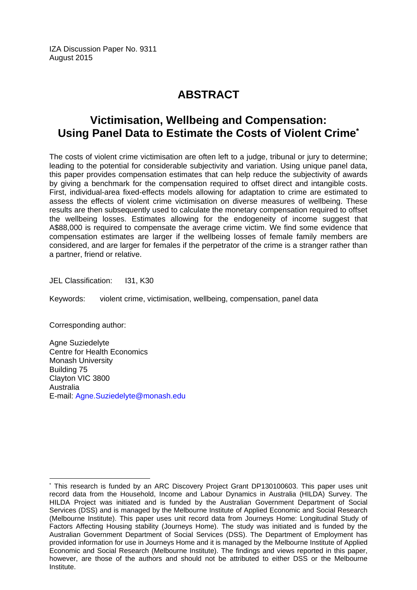IZA Discussion Paper No. 9311 August 2015

## **ABSTRACT**

## **Victimisation, Wellbeing and Compensation: Using Panel Data to Estimate the Costs of Violent Crime\***

The costs of violent crime victimisation are often left to a judge, tribunal or jury to determine; leading to the potential for considerable subjectivity and variation. Using unique panel data, this paper provides compensation estimates that can help reduce the subjectivity of awards by giving a benchmark for the compensation required to offset direct and intangible costs. First, individual-area fixed-effects models allowing for adaptation to crime are estimated to assess the effects of violent crime victimisation on diverse measures of wellbeing. These results are then subsequently used to calculate the monetary compensation required to offset the wellbeing losses. Estimates allowing for the endogeneity of income suggest that A\$88,000 is required to compensate the average crime victim. We find some evidence that compensation estimates are larger if the wellbeing losses of female family members are considered, and are larger for females if the perpetrator of the crime is a stranger rather than a partner, friend or relative.

JEL Classification: I31, K30

Keywords: violent crime, victimisation, wellbeing, compensation, panel data

Corresponding author:

 $\overline{a}$ 

Agne Suziedelyte Centre for Health Economics Monash University Building 75 Clayton VIC 3800 Australia E-mail: Agne.Suziedelyte@monash.edu

<sup>\*</sup> This research is funded by an ARC Discovery Project Grant DP130100603. This paper uses unit record data from the Household, Income and Labour Dynamics in Australia (HILDA) Survey. The HILDA Project was initiated and is funded by the Australian Government Department of Social Services (DSS) and is managed by the Melbourne Institute of Applied Economic and Social Research (Melbourne Institute). This paper uses unit record data from Journeys Home: Longitudinal Study of Factors Affecting Housing stability (Journeys Home). The study was initiated and is funded by the Australian Government Department of Social Services (DSS). The Department of Employment has provided information for use in Journeys Home and it is managed by the Melbourne Institute of Applied Economic and Social Research (Melbourne Institute). The findings and views reported in this paper, however, are those of the authors and should not be attributed to either DSS or the Melbourne Institute.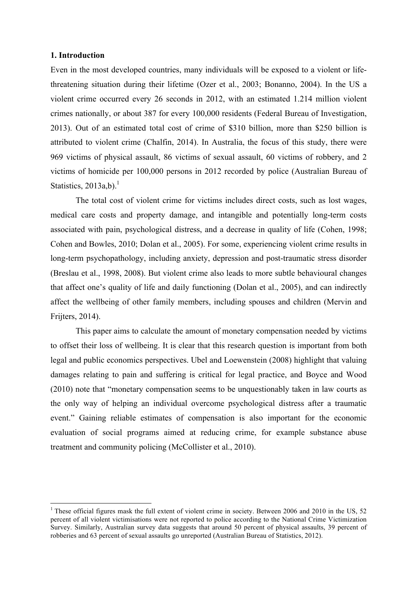#### **1. Introduction**

Even in the most developed countries, many individuals will be exposed to a violent or lifethreatening situation during their lifetime (Ozer et al., 2003; Bonanno, 2004). In the US a violent crime occurred every 26 seconds in 2012, with an estimated 1.214 million violent crimes nationally, or about 387 for every 100,000 residents (Federal Bureau of Investigation, 2013). Out of an estimated total cost of crime of \$310 billion, more than \$250 billion is attributed to violent crime (Chalfin, 2014). In Australia, the focus of this study, there were 969 victims of physical assault, 86 victims of sexual assault, 60 victims of robbery, and 2 victims of homicide per 100,000 persons in 2012 recorded by police (Australian Bureau of Statistics,  $2013a,b$ .<sup>1</sup>

The total cost of violent crime for victims includes direct costs, such as lost wages, medical care costs and property damage, and intangible and potentially long-term costs associated with pain, psychological distress, and a decrease in quality of life (Cohen, 1998; Cohen and Bowles, 2010; Dolan et al., 2005). For some, experiencing violent crime results in long-term psychopathology, including anxiety, depression and post-traumatic stress disorder (Breslau et al., 1998, 2008). But violent crime also leads to more subtle behavioural changes that affect one's quality of life and daily functioning (Dolan et al., 2005), and can indirectly affect the wellbeing of other family members, including spouses and children (Mervin and Frijters, 2014).

This paper aims to calculate the amount of monetary compensation needed by victims to offset their loss of wellbeing. It is clear that this research question is important from both legal and public economics perspectives. Ubel and Loewenstein (2008) highlight that valuing damages relating to pain and suffering is critical for legal practice, and Boyce and Wood (2010) note that "monetary compensation seems to be unquestionably taken in law courts as the only way of helping an individual overcome psychological distress after a traumatic event." Gaining reliable estimates of compensation is also important for the economic evaluation of social programs aimed at reducing crime, for example substance abuse treatment and community policing (McCollister et al., 2010).

 <sup>1</sup> These official figures mask the full extent of violent crime in society. Between 2006 and 2010 in the US, 52 percent of all violent victimisations were not reported to police according to the National Crime Victimization Survey. Similarly, Australian survey data suggests that around 50 percent of physical assaults, 39 percent of robberies and 63 percent of sexual assaults go unreported (Australian Bureau of Statistics, 2012).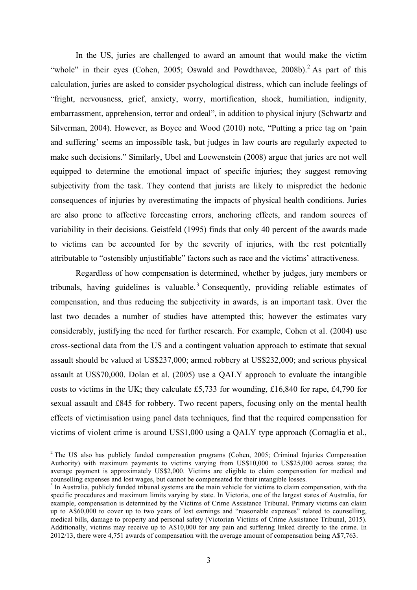In the US, juries are challenged to award an amount that would make the victim "whole" in their eyes (Cohen, 2005; Oswald and Powdthavee,  $2008b$ ).<sup>2</sup> As part of this calculation, juries are asked to consider psychological distress, which can include feelings of "fright, nervousness, grief, anxiety, worry, mortification, shock, humiliation, indignity, embarrassment, apprehension, terror and ordeal", in addition to physical injury (Schwartz and Silverman, 2004). However, as Boyce and Wood (2010) note, "Putting a price tag on 'pain and suffering' seems an impossible task, but judges in law courts are regularly expected to make such decisions." Similarly, Ubel and Loewenstein (2008) argue that juries are not well equipped to determine the emotional impact of specific injuries; they suggest removing subjectivity from the task. They contend that jurists are likely to mispredict the hedonic consequences of injuries by overestimating the impacts of physical health conditions. Juries are also prone to affective forecasting errors, anchoring effects, and random sources of variability in their decisions. Geistfeld (1995) finds that only 40 percent of the awards made to victims can be accounted for by the severity of injuries, with the rest potentially attributable to "ostensibly unjustifiable" factors such as race and the victims' attractiveness.

Regardless of how compensation is determined, whether by judges, jury members or tribunals, having guidelines is valuable.<sup>3</sup> Consequently, providing reliable estimates of compensation, and thus reducing the subjectivity in awards, is an important task. Over the last two decades a number of studies have attempted this; however the estimates vary considerably, justifying the need for further research. For example, Cohen et al. (2004) use cross-sectional data from the US and a contingent valuation approach to estimate that sexual assault should be valued at US\$237,000; armed robbery at US\$232,000; and serious physical assault at US\$70,000. Dolan et al. (2005) use a QALY approach to evaluate the intangible costs to victims in the UK; they calculate £5,733 for wounding, £16,840 for rape, £4,790 for sexual assault and £845 for robbery. Two recent papers, focusing only on the mental health effects of victimisation using panel data techniques, find that the required compensation for victims of violent crime is around US\$1,000 using a QALY type approach (Cornaglia et al.,

<sup>&</sup>lt;sup>2</sup> The US also has publicly funded compensation programs (Cohen, 2005; Criminal Injuries Compensation Authority) with maximum payments to victims varying from US\$10,000 to US\$25,000 across states; the average payment is approximately US\$2,000. Victims are eligible to claim compensation for medical and counselling expenses and lost wages, but cannot be compensated for their intangible losses.

 $3$  In Australia, publicly funded tribunal systems are the main vehicle for victims to claim compensation, with the specific procedures and maximum limits varying by state. In Victoria, one of the largest states of Australia, for example, compensation is determined by the Victims of Crime Assistance Tribunal. Primary victims can claim up to A\$60,000 to cover up to two years of lost earnings and "reasonable expenses" related to counselling, medical bills, damage to property and personal safety (Victorian Victims of Crime Assistance Tribunal, 2015). Additionally, victims may receive up to A\$10,000 for any pain and suffering linked directly to the crime. In 2012/13, there were 4,751 awards of compensation with the average amount of compensation being A\$7,763.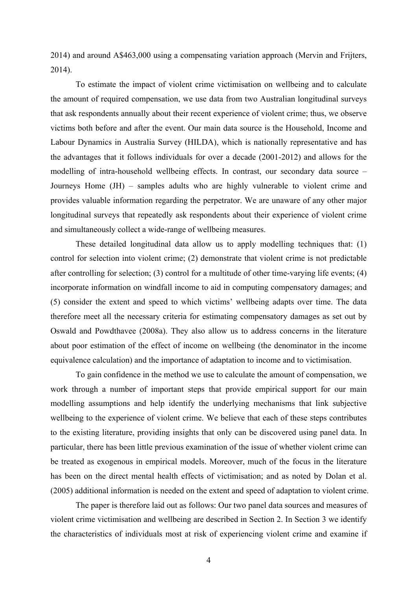2014) and around A\$463,000 using a compensating variation approach (Mervin and Frijters, 2014).

To estimate the impact of violent crime victimisation on wellbeing and to calculate the amount of required compensation, we use data from two Australian longitudinal surveys that ask respondents annually about their recent experience of violent crime; thus, we observe victims both before and after the event. Our main data source is the Household, Income and Labour Dynamics in Australia Survey (HILDA), which is nationally representative and has the advantages that it follows individuals for over a decade (2001-2012) and allows for the modelling of intra-household wellbeing effects. In contrast, our secondary data source – Journeys Home (JH) – samples adults who are highly vulnerable to violent crime and provides valuable information regarding the perpetrator. We are unaware of any other major longitudinal surveys that repeatedly ask respondents about their experience of violent crime and simultaneously collect a wide-range of wellbeing measures.

These detailed longitudinal data allow us to apply modelling techniques that: (1) control for selection into violent crime; (2) demonstrate that violent crime is not predictable after controlling for selection; (3) control for a multitude of other time-varying life events; (4) incorporate information on windfall income to aid in computing compensatory damages; and (5) consider the extent and speed to which victims' wellbeing adapts over time. The data therefore meet all the necessary criteria for estimating compensatory damages as set out by Oswald and Powdthavee (2008a). They also allow us to address concerns in the literature about poor estimation of the effect of income on wellbeing (the denominator in the income equivalence calculation) and the importance of adaptation to income and to victimisation.

To gain confidence in the method we use to calculate the amount of compensation, we work through a number of important steps that provide empirical support for our main modelling assumptions and help identify the underlying mechanisms that link subjective wellbeing to the experience of violent crime. We believe that each of these steps contributes to the existing literature, providing insights that only can be discovered using panel data. In particular, there has been little previous examination of the issue of whether violent crime can be treated as exogenous in empirical models. Moreover, much of the focus in the literature has been on the direct mental health effects of victimisation; and as noted by Dolan et al. (2005) additional information is needed on the extent and speed of adaptation to violent crime.

The paper is therefore laid out as follows: Our two panel data sources and measures of violent crime victimisation and wellbeing are described in Section 2. In Section 3 we identify the characteristics of individuals most at risk of experiencing violent crime and examine if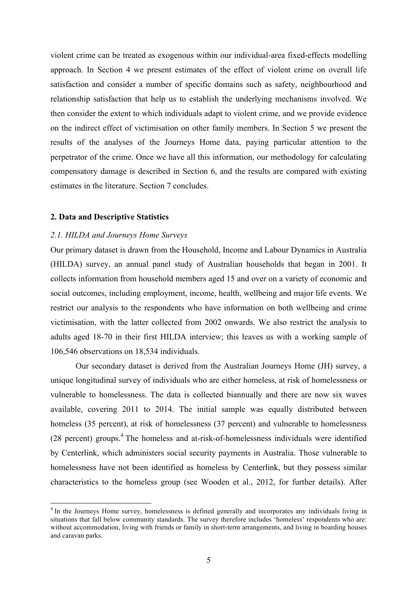violent crime can be treated as exogenous within our individual-area fixed-effects modelling approach. In Section 4 we present estimates of the effect of violent crime on overall life satisfaction and consider a number of specific domains such as safety, neighbourhood and relationship satisfaction that help us to establish the underlying mechanisms involved. We then consider the extent to which individuals adapt to violent crime, and we provide evidence on the indirect effect of victimisation on other family members. In Section 5 we present the results of the analyses of the Journeys Home data, paying particular attention to the perpetrator of the crime. Once we have all this information, our methodology for calculating compensatory damage is described in Section 6, and the results are compared with existing estimates in the literature. Section 7 concludes.

#### **2. Data and Descriptive Statistics**

#### *2.1. HILDA and Journeys Home Surveys*

Our primary dataset is drawn from the Household, Income and Labour Dynamics in Australia (HILDA) survey, an annual panel study of Australian households that began in 2001. It collects information from household members aged 15 and over on a variety of economic and social outcomes, including employment, income, health, wellbeing and major life events. We restrict our analysis to the respondents who have information on both wellbeing and crime victimisation, with the latter collected from 2002 onwards. We also restrict the analysis to adults aged 18-70 in their first HILDA interview; this leaves us with a working sample of 106,546 observations on 18,534 individuals.

Our secondary dataset is derived from the Australian Journeys Home (JH) survey, a unique longitudinal survey of individuals who are either homeless, at risk of homelessness or vulnerable to homelessness. The data is collected biannually and there are now six waves available, covering 2011 to 2014. The initial sample was equally distributed between homeless (35 percent), at risk of homelessness (37 percent) and vulnerable to homelessness  $(28 \text{ percent})$  groups.<sup>4</sup> The homeless and at-risk-of-homelessness individuals were identified by Centerlink, which administers social security payments in Australia. Those vulnerable to homelessness have not been identified as homeless by Centerlink, but they possess similar characteristics to the homeless group (see Wooden et al., 2012, for further details). After

<sup>&</sup>lt;sup>4</sup> In the Journeys Home survey, homelessness is defined generally and incorporates any individuals living in situations that fall below community standards. The survey therefore includes 'homeless' respondents who are: without accommodation, living with friends or family in short-term arrangements, and living in boarding houses and caravan parks.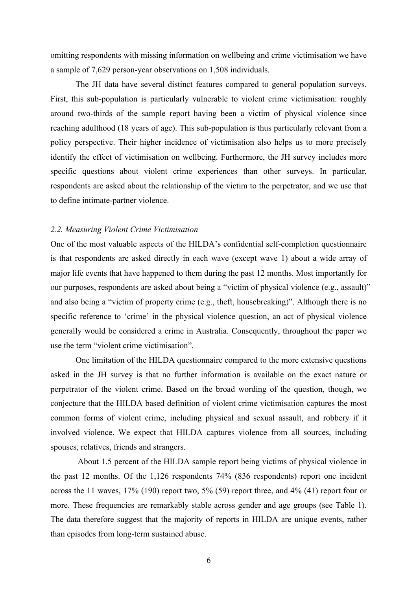omitting respondents with missing information on wellbeing and crime victimisation we have a sample of 7,629 person-year observations on 1,508 individuals.

The JH data have several distinct features compared to general population surveys. First, this sub-population is particularly vulnerable to violent crime victimisation: roughly around two-thirds of the sample report having been a victim of physical violence since reaching adulthood (18 years of age). This sub-population is thus particularly relevant from a policy perspective. Their higher incidence of victimisation also helps us to more precisely identify the effect of victimisation on wellbeing. Furthermore, the JH survey includes more specific questions about violent crime experiences than other surveys. In particular, respondents are asked about the relationship of the victim to the perpetrator, and we use that to define intimate-partner violence.

#### *2.2. Measuring Violent Crime Victimisation*

One of the most valuable aspects of the HILDA's confidential self-completion questionnaire is that respondents are asked directly in each wave (except wave 1) about a wide array of major life events that have happened to them during the past 12 months. Most importantly for our purposes, respondents are asked about being a "victim of physical violence (e.g., assault)" and also being a "victim of property crime (e.g., theft, housebreaking)". Although there is no specific reference to 'crime' in the physical violence question, an act of physical violence generally would be considered a crime in Australia. Consequently, throughout the paper we use the term "violent crime victimisation".

One limitation of the HILDA questionnaire compared to the more extensive questions asked in the JH survey is that no further information is available on the exact nature or perpetrator of the violent crime. Based on the broad wording of the question, though, we conjecture that the HILDA based definition of violent crime victimisation captures the most common forms of violent crime, including physical and sexual assault, and robbery if it involved violence. We expect that HILDA captures violence from all sources, including spouses, relatives, friends and strangers.

About 1.5 percent of the HILDA sample report being victims of physical violence in the past 12 months. Of the 1,126 respondents 74% (836 respondents) report one incident across the 11 waves, 17% (190) report two, 5% (59) report three, and 4% (41) report four or more. These frequencies are remarkably stable across gender and age groups (see Table 1). The data therefore suggest that the majority of reports in HILDA are unique events, rather than episodes from long-term sustained abuse.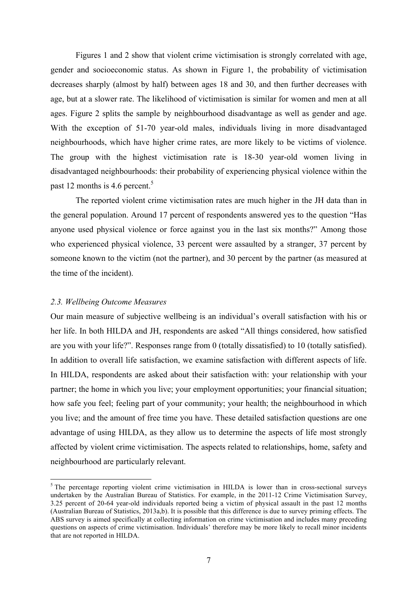Figures 1 and 2 show that violent crime victimisation is strongly correlated with age, gender and socioeconomic status. As shown in Figure 1, the probability of victimisation decreases sharply (almost by half) between ages 18 and 30, and then further decreases with age, but at a slower rate. The likelihood of victimisation is similar for women and men at all ages. Figure 2 splits the sample by neighbourhood disadvantage as well as gender and age. With the exception of 51-70 year-old males, individuals living in more disadvantaged neighbourhoods, which have higher crime rates, are more likely to be victims of violence. The group with the highest victimisation rate is 18-30 year-old women living in disadvantaged neighbourhoods: their probability of experiencing physical violence within the past 12 months is 4.6 percent.<sup>5</sup>

The reported violent crime victimisation rates are much higher in the JH data than in the general population. Around 17 percent of respondents answered yes to the question "Has anyone used physical violence or force against you in the last six months?" Among those who experienced physical violence, 33 percent were assaulted by a stranger, 37 percent by someone known to the victim (not the partner), and 30 percent by the partner (as measured at the time of the incident).

#### *2.3. Wellbeing Outcome Measures*

Our main measure of subjective wellbeing is an individual's overall satisfaction with his or her life. In both HILDA and JH, respondents are asked "All things considered, how satisfied are you with your life?". Responses range from 0 (totally dissatisfied) to 10 (totally satisfied). In addition to overall life satisfaction, we examine satisfaction with different aspects of life. In HILDA, respondents are asked about their satisfaction with: your relationship with your partner; the home in which you live; your employment opportunities; your financial situation; how safe you feel; feeling part of your community; your health; the neighbourhood in which you live; and the amount of free time you have. These detailed satisfaction questions are one advantage of using HILDA, as they allow us to determine the aspects of life most strongly affected by violent crime victimisation. The aspects related to relationships, home, safety and neighbourhood are particularly relevant.

 $<sup>5</sup>$  The percentage reporting violent crime victimisation in HILDA is lower than in cross-sectional surveys</sup> undertaken by the Australian Bureau of Statistics. For example, in the 2011-12 Crime Victimisation Survey, 3.25 percent of 20-64 year-old individuals reported being a victim of physical assault in the past 12 months (Australian Bureau of Statistics, 2013a,b). It is possible that this difference is due to survey priming effects. The ABS survey is aimed specifically at collecting information on crime victimisation and includes many preceding questions on aspects of crime victimisation. Individuals' therefore may be more likely to recall minor incidents that are not reported in HILDA.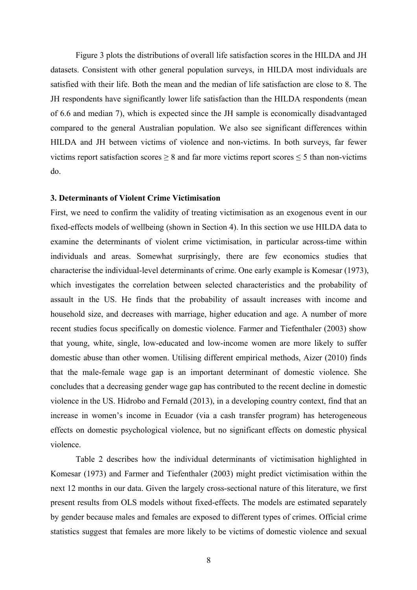Figure 3 plots the distributions of overall life satisfaction scores in the HILDA and JH datasets. Consistent with other general population surveys, in HILDA most individuals are satisfied with their life. Both the mean and the median of life satisfaction are close to 8. The JH respondents have significantly lower life satisfaction than the HILDA respondents (mean of 6.6 and median 7), which is expected since the JH sample is economically disadvantaged compared to the general Australian population. We also see significant differences within HILDA and JH between victims of violence and non-victims. In both surveys, far fewer victims report satisfaction scores  $\geq 8$  and far more victims report scores  $\leq 5$  than non-victims do.

#### **3. Determinants of Violent Crime Victimisation**

First, we need to confirm the validity of treating victimisation as an exogenous event in our fixed-effects models of wellbeing (shown in Section 4). In this section we use HILDA data to examine the determinants of violent crime victimisation, in particular across-time within individuals and areas. Somewhat surprisingly, there are few economics studies that characterise the individual-level determinants of crime. One early example is Komesar (1973), which investigates the correlation between selected characteristics and the probability of assault in the US. He finds that the probability of assault increases with income and household size, and decreases with marriage, higher education and age. A number of more recent studies focus specifically on domestic violence. Farmer and Tiefenthaler (2003) show that young, white, single, low-educated and low-income women are more likely to suffer domestic abuse than other women. Utilising different empirical methods, Aizer (2010) finds that the male-female wage gap is an important determinant of domestic violence. She concludes that a decreasing gender wage gap has contributed to the recent decline in domestic violence in the US. Hidrobo and Fernald (2013), in a developing country context, find that an increase in women's income in Ecuador (via a cash transfer program) has heterogeneous effects on domestic psychological violence, but no significant effects on domestic physical violence.

Table 2 describes how the individual determinants of victimisation highlighted in Komesar (1973) and Farmer and Tiefenthaler (2003) might predict victimisation within the next 12 months in our data. Given the largely cross-sectional nature of this literature, we first present results from OLS models without fixed-effects. The models are estimated separately by gender because males and females are exposed to different types of crimes. Official crime statistics suggest that females are more likely to be victims of domestic violence and sexual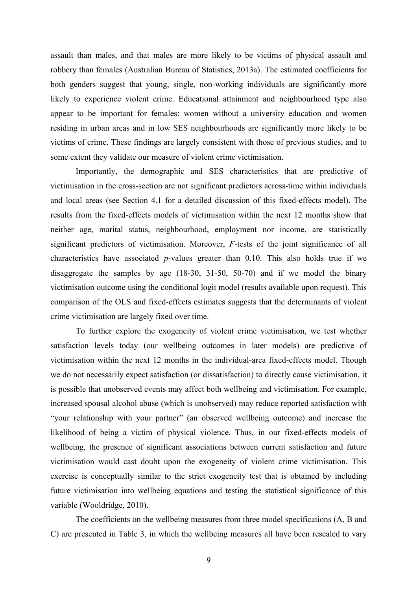assault than males, and that males are more likely to be victims of physical assault and robbery than females (Australian Bureau of Statistics, 2013a). The estimated coefficients for both genders suggest that young, single, non-working individuals are significantly more likely to experience violent crime. Educational attainment and neighbourhood type also appear to be important for females: women without a university education and women residing in urban areas and in low SES neighbourhoods are significantly more likely to be victims of crime. These findings are largely consistent with those of previous studies, and to some extent they validate our measure of violent crime victimisation.

Importantly, the demographic and SES characteristics that are predictive of victimisation in the cross-section are not significant predictors across-time within individuals and local areas (see Section 4.1 for a detailed discussion of this fixed-effects model). The results from the fixed-effects models of victimisation within the next 12 months show that neither age, marital status, neighbourhood, employment nor income, are statistically significant predictors of victimisation. Moreover, *F*-tests of the joint significance of all characteristics have associated *p*-values greater than 0.10. This also holds true if we disaggregate the samples by age (18-30, 31-50, 50-70) and if we model the binary victimisation outcome using the conditional logit model (results available upon request). This comparison of the OLS and fixed-effects estimates suggests that the determinants of violent crime victimisation are largely fixed over time.

To further explore the exogeneity of violent crime victimisation, we test whether satisfaction levels today (our wellbeing outcomes in later models) are predictive of victimisation within the next 12 months in the individual-area fixed-effects model. Though we do not necessarily expect satisfaction (or dissatisfaction) to directly cause victimisation, it is possible that unobserved events may affect both wellbeing and victimisation. For example, increased spousal alcohol abuse (which is unobserved) may reduce reported satisfaction with "your relationship with your partner" (an observed wellbeing outcome) and increase the likelihood of being a victim of physical violence. Thus, in our fixed-effects models of wellbeing, the presence of significant associations between current satisfaction and future victimisation would cast doubt upon the exogeneity of violent crime victimisation. This exercise is conceptually similar to the strict exogeneity test that is obtained by including future victimisation into wellbeing equations and testing the statistical significance of this variable (Wooldridge, 2010).

The coefficients on the wellbeing measures from three model specifications (A, B and C) are presented in Table 3, in which the wellbeing measures all have been rescaled to vary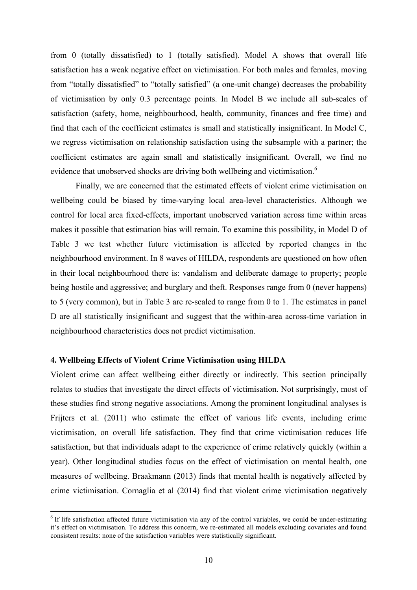from 0 (totally dissatisfied) to 1 (totally satisfied). Model A shows that overall life satisfaction has a weak negative effect on victimisation. For both males and females, moving from "totally dissatisfied" to "totally satisfied" (a one-unit change) decreases the probability of victimisation by only 0.3 percentage points. In Model B we include all sub-scales of satisfaction (safety, home, neighbourhood, health, community, finances and free time) and find that each of the coefficient estimates is small and statistically insignificant. In Model C, we regress victimisation on relationship satisfaction using the subsample with a partner; the coefficient estimates are again small and statistically insignificant. Overall, we find no evidence that unobserved shocks are driving both wellbeing and victimisation.<sup>6</sup>

Finally, we are concerned that the estimated effects of violent crime victimisation on wellbeing could be biased by time-varying local area-level characteristics. Although we control for local area fixed-effects, important unobserved variation across time within areas makes it possible that estimation bias will remain. To examine this possibility, in Model D of Table 3 we test whether future victimisation is affected by reported changes in the neighbourhood environment. In 8 waves of HILDA, respondents are questioned on how often in their local neighbourhood there is: vandalism and deliberate damage to property; people being hostile and aggressive; and burglary and theft. Responses range from 0 (never happens) to 5 (very common), but in Table 3 are re-scaled to range from 0 to 1. The estimates in panel D are all statistically insignificant and suggest that the within-area across-time variation in neighbourhood characteristics does not predict victimisation.

#### **4. Wellbeing Effects of Violent Crime Victimisation using HILDA**

Violent crime can affect wellbeing either directly or indirectly. This section principally relates to studies that investigate the direct effects of victimisation. Not surprisingly, most of these studies find strong negative associations. Among the prominent longitudinal analyses is Frijters et al. (2011) who estimate the effect of various life events, including crime victimisation, on overall life satisfaction. They find that crime victimisation reduces life satisfaction, but that individuals adapt to the experience of crime relatively quickly (within a year). Other longitudinal studies focus on the effect of victimisation on mental health, one measures of wellbeing. Braakmann (2013) finds that mental health is negatively affected by crime victimisation. Cornaglia et al (2014) find that violent crime victimisation negatively

 $6$  If life satisfaction affected future victimisation via any of the control variables, we could be under-estimating it's effect on victimisation. To address this concern, we re-estimated all models excluding covariates and found consistent results: none of the satisfaction variables were statistically significant.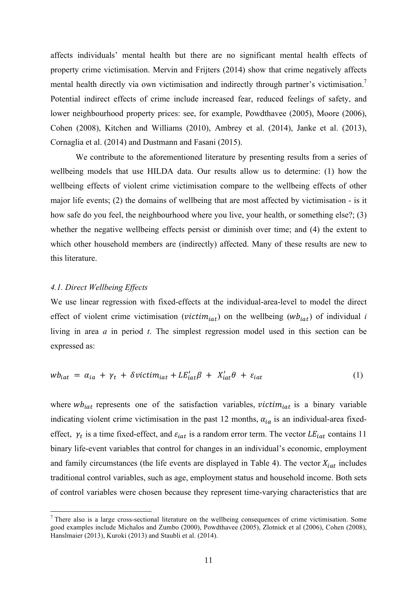affects individuals' mental health but there are no significant mental health effects of property crime victimisation. Mervin and Frijters (2014) show that crime negatively affects mental health directly via own victimisation and indirectly through partner's victimisation.<sup>7</sup> Potential indirect effects of crime include increased fear, reduced feelings of safety, and lower neighbourhood property prices: see, for example, Powdthavee (2005), Moore (2006), Cohen (2008), Kitchen and Williams (2010), Ambrey et al. (2014), Janke et al. (2013), Cornaglia et al. (2014) and Dustmann and Fasani (2015).

We contribute to the aforementioned literature by presenting results from a series of wellbeing models that use HILDA data. Our results allow us to determine: (1) how the wellbeing effects of violent crime victimisation compare to the wellbeing effects of other major life events; (2) the domains of wellbeing that are most affected by victimisation - is it how safe do you feel, the neighbourhood where you live, your health, or something else?; (3) whether the negative wellbeing effects persist or diminish over time; and (4) the extent to which other household members are (indirectly) affected. Many of these results are new to this literature.

#### *4.1. Direct Wellbeing Effects*

We use linear regression with fixed-effects at the individual-area-level to model the direct effect of violent crime victimisation (*victim<sub>iat</sub>*) on the wellbeing ( $wb_{iat}$ ) of individual *i* living in area *a* in period *t*. The simplest regression model used in this section can be expressed as:

$$
wb_{iat} = \alpha_{ia} + \gamma_t + \delta \text{victim}_{iat} + \text{LE}'_{iat}\beta + \text{X}'_{iat}\theta + \varepsilon_{iat} \tag{1}
$$

where  $wb_{iat}$  represents one of the satisfaction variables,  $victim_{iat}$  is a binary variable indicating violent crime victimisation in the past 12 months,  $\alpha_{ia}$  is an individual-area fixedeffect,  $\gamma_t$  is a time fixed-effect, and  $\varepsilon_{iat}$  is a random error term. The vector  $LE_{iat}$  contains 11 binary life-event variables that control for changes in an individual's economic, employment and family circumstances (the life events are displayed in Table 4). The vector  $X_{i}$  includes traditional control variables, such as age, employment status and household income. Both sets of control variables were chosen because they represent time-varying characteristics that are

<sup>&</sup>lt;sup>7</sup> There also is a large cross-sectional literature on the wellbeing consequences of crime victimisation. Some good examples include Michalos and Zumbo (2000), Powdthavee (2005), Zlotnick et al (2006), Cohen (2008), Hanslmaier (2013), Kuroki (2013) and Staubli et al. (2014).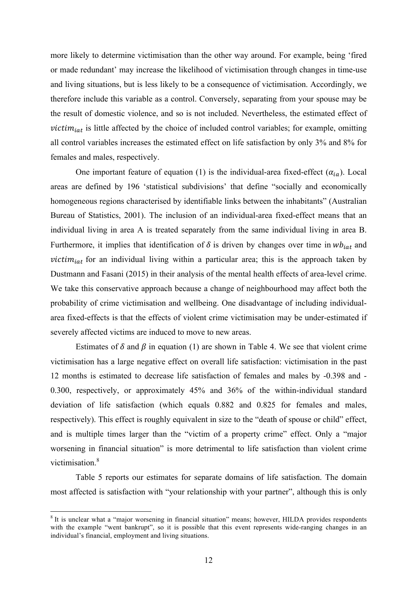more likely to determine victimisation than the other way around. For example, being 'fired or made redundant' may increase the likelihood of victimisation through changes in time-use and living situations, but is less likely to be a consequence of victimisation. Accordingly, we therefore include this variable as a control. Conversely, separating from your spouse may be the result of domestic violence, and so is not included. Nevertheless, the estimated effect of  $victim_{iat}$  is little affected by the choice of included control variables; for example, omitting all control variables increases the estimated effect on life satisfaction by only 3% and 8% for females and males, respectively.

One important feature of equation (1) is the individual-area fixed-effect  $(\alpha_{ia})$ . Local areas are defined by 196 'statistical subdivisions' that define "socially and economically homogeneous regions characterised by identifiable links between the inhabitants" (Australian Bureau of Statistics, 2001). The inclusion of an individual-area fixed-effect means that an individual living in area A is treated separately from the same individual living in area B. Furthermore, it implies that identification of  $\delta$  is driven by changes over time in  $wb_{int}$  and *victim<sub>iat</sub>* for an individual living within a particular area; this is the approach taken by Dustmann and Fasani (2015) in their analysis of the mental health effects of area-level crime. We take this conservative approach because a change of neighbourhood may affect both the probability of crime victimisation and wellbeing. One disadvantage of including individualarea fixed-effects is that the effects of violent crime victimisation may be under-estimated if severely affected victims are induced to move to new areas.

Estimates of  $\delta$  and  $\beta$  in equation (1) are shown in Table 4. We see that violent crime victimisation has a large negative effect on overall life satisfaction: victimisation in the past 12 months is estimated to decrease life satisfaction of females and males by -0.398 and - 0.300, respectively, or approximately 45% and 36% of the within-individual standard deviation of life satisfaction (which equals 0.882 and 0.825 for females and males, respectively). This effect is roughly equivalent in size to the "death of spouse or child" effect, and is multiple times larger than the "victim of a property crime" effect. Only a "major worsening in financial situation" is more detrimental to life satisfaction than violent crime victimisation.<sup>8</sup>

Table 5 reports our estimates for separate domains of life satisfaction. The domain most affected is satisfaction with "your relationship with your partner", although this is only

<sup>&</sup>lt;sup>8</sup> It is unclear what a "major worsening in financial situation" means; however, HILDA provides respondents with the example "went bankrupt", so it is possible that this event represents wide-ranging changes in an individual's financial, employment and living situations.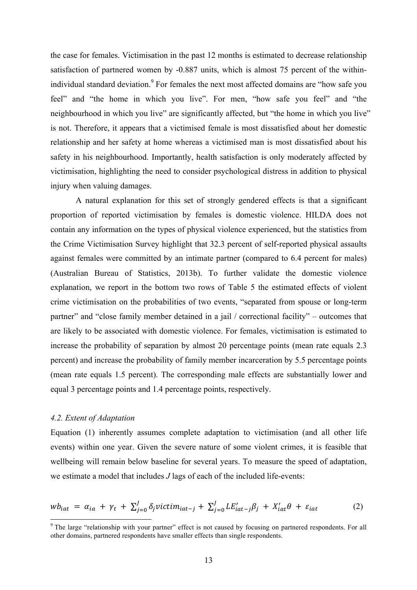the case for females. Victimisation in the past 12 months is estimated to decrease relationship satisfaction of partnered women by -0.887 units, which is almost 75 percent of the withinindividual standard deviation.<sup>9</sup> For females the next most affected domains are "how safe you feel" and "the home in which you live". For men, "how safe you feel" and "the neighbourhood in which you live" are significantly affected, but "the home in which you live" is not. Therefore, it appears that a victimised female is most dissatisfied about her domestic relationship and her safety at home whereas a victimised man is most dissatisfied about his safety in his neighbourhood. Importantly, health satisfaction is only moderately affected by victimisation, highlighting the need to consider psychological distress in addition to physical injury when valuing damages.

A natural explanation for this set of strongly gendered effects is that a significant proportion of reported victimisation by females is domestic violence. HILDA does not contain any information on the types of physical violence experienced, but the statistics from the Crime Victimisation Survey highlight that 32.3 percent of self-reported physical assaults against females were committed by an intimate partner (compared to 6.4 percent for males) (Australian Bureau of Statistics, 2013b). To further validate the domestic violence explanation, we report in the bottom two rows of Table 5 the estimated effects of violent crime victimisation on the probabilities of two events, "separated from spouse or long-term partner" and "close family member detained in a jail / correctional facility" – outcomes that are likely to be associated with domestic violence. For females, victimisation is estimated to increase the probability of separation by almost 20 percentage points (mean rate equals 2.3 percent) and increase the probability of family member incarceration by 5.5 percentage points (mean rate equals 1.5 percent). The corresponding male effects are substantially lower and equal 3 percentage points and 1.4 percentage points, respectively.

#### *4.2. Extent of Adaptation*

Equation (1) inherently assumes complete adaptation to victimisation (and all other life events) within one year. Given the severe nature of some violent crimes, it is feasible that wellbeing will remain below baseline for several years. To measure the speed of adaptation, we estimate a model that includes *J* lags of each of the included life-events:

$$
wb_{iat} = \alpha_{ia} + \gamma_t + \sum_{j=0}^{J} \delta_j \text{victim}_{iat-j} + \sum_{j=0}^{J} LE'_{iat-j} \beta_j + X'_{iat} \theta + \varepsilon_{iat} \tag{2}
$$

<sup>&</sup>lt;sup>9</sup> The large "relationship with your partner" effect is not caused by focusing on partnered respondents. For all other domains, partnered respondents have smaller effects than single respondents.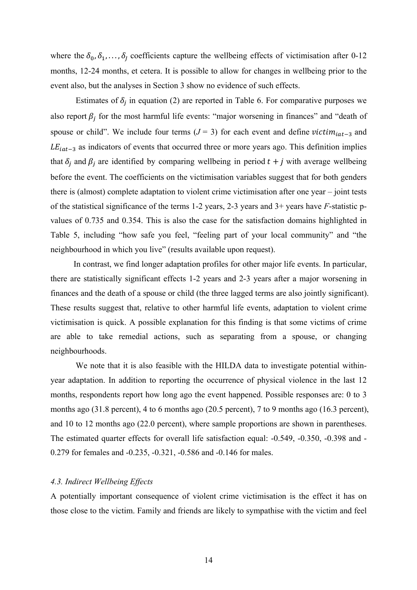where the  $\delta_0, \delta_1, \ldots, \delta_l$  coefficients capture the wellbeing effects of victimisation after 0-12 months, 12-24 months, et cetera. It is possible to allow for changes in wellbeing prior to the event also, but the analyses in Section 3 show no evidence of such effects.

Estimates of  $\delta_i$  in equation (2) are reported in Table 6. For comparative purposes we also report  $\beta_i$  for the most harmful life events: "major worsening in finances" and "death of spouse or child". We include four terms  $(J = 3)$  for each event and define  $victim<sub>iat-3</sub>$  and  $LE_{iat-3}$  as indicators of events that occurred three or more years ago. This definition implies that  $\delta_i$  and  $\beta_i$  are identified by comparing wellbeing in period  $t + j$  with average wellbeing before the event. The coefficients on the victimisation variables suggest that for both genders there is (almost) complete adaptation to violent crime victimisation after one year – joint tests of the statistical significance of the terms 1-2 years, 2-3 years and 3+ years have *F*-statistic pvalues of 0.735 and 0.354. This is also the case for the satisfaction domains highlighted in Table 5, including "how safe you feel, "feeling part of your local community" and "the neighbourhood in which you live" (results available upon request).

In contrast, we find longer adaptation profiles for other major life events. In particular, there are statistically significant effects 1-2 years and 2-3 years after a major worsening in finances and the death of a spouse or child (the three lagged terms are also jointly significant). These results suggest that, relative to other harmful life events, adaptation to violent crime victimisation is quick. A possible explanation for this finding is that some victims of crime are able to take remedial actions, such as separating from a spouse, or changing neighbourhoods.

We note that it is also feasible with the HILDA data to investigate potential withinyear adaptation. In addition to reporting the occurrence of physical violence in the last 12 months, respondents report how long ago the event happened. Possible responses are: 0 to 3 months ago (31.8 percent), 4 to 6 months ago (20.5 percent), 7 to 9 months ago (16.3 percent), and 10 to 12 months ago (22.0 percent), where sample proportions are shown in parentheses. The estimated quarter effects for overall life satisfaction equal: -0.549, -0.350, -0.398 and - 0.279 for females and -0.235, -0.321, -0.586 and -0.146 for males.

#### *4.3. Indirect Wellbeing Effects*

A potentially important consequence of violent crime victimisation is the effect it has on those close to the victim. Family and friends are likely to sympathise with the victim and feel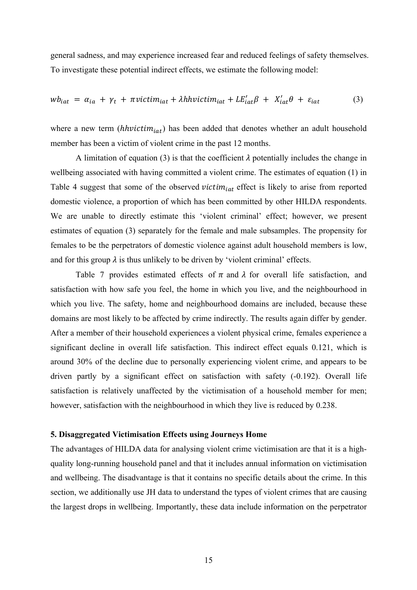general sadness, and may experience increased fear and reduced feelings of safety themselves. To investigate these potential indirect effects, we estimate the following model:

$$
wb_{iat} = \alpha_{ia} + \gamma_t + \pi victim_{iat} + \lambda hhvictim_{iat} + LE'_{iat}\beta + X'_{iat}\theta + \varepsilon_{iat}
$$
 (3)

where a new term ( $hh$ *victim<sub>iat</sub>*) has been added that denotes whether an adult household member has been a victim of violent crime in the past 12 months.

A limitation of equation (3) is that the coefficient  $\lambda$  potentially includes the change in wellbeing associated with having committed a violent crime. The estimates of equation (1) in Table 4 suggest that some of the observed *victim<sub>iat</sub>* effect is likely to arise from reported domestic violence, a proportion of which has been committed by other HILDA respondents. We are unable to directly estimate this 'violent criminal' effect; however, we present estimates of equation (3) separately for the female and male subsamples. The propensity for females to be the perpetrators of domestic violence against adult household members is low, and for this group  $\lambda$  is thus unlikely to be driven by 'violent criminal' effects.

Table 7 provides estimated effects of  $\pi$  and  $\lambda$  for overall life satisfaction, and satisfaction with how safe you feel, the home in which you live, and the neighbourhood in which you live. The safety, home and neighbourhood domains are included, because these domains are most likely to be affected by crime indirectly. The results again differ by gender. After a member of their household experiences a violent physical crime, females experience a significant decline in overall life satisfaction. This indirect effect equals 0.121, which is around 30% of the decline due to personally experiencing violent crime, and appears to be driven partly by a significant effect on satisfaction with safety (-0.192). Overall life satisfaction is relatively unaffected by the victimisation of a household member for men; however, satisfaction with the neighbourhood in which they live is reduced by 0.238.

#### **5. Disaggregated Victimisation Effects using Journeys Home**

The advantages of HILDA data for analysing violent crime victimisation are that it is a highquality long-running household panel and that it includes annual information on victimisation and wellbeing. The disadvantage is that it contains no specific details about the crime. In this section, we additionally use JH data to understand the types of violent crimes that are causing the largest drops in wellbeing. Importantly, these data include information on the perpetrator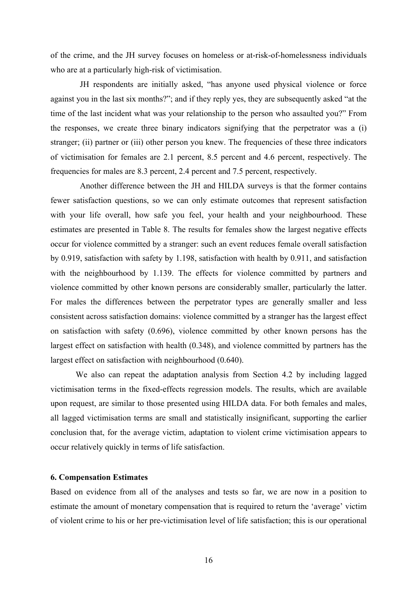of the crime, and the JH survey focuses on homeless or at-risk-of-homelessness individuals who are at a particularly high-risk of victimisation.

 JH respondents are initially asked, "has anyone used physical violence or force against you in the last six months?"; and if they reply yes, they are subsequently asked "at the time of the last incident what was your relationship to the person who assaulted you?" From the responses, we create three binary indicators signifying that the perpetrator was a (i) stranger; (ii) partner or (iii) other person you knew. The frequencies of these three indicators of victimisation for females are 2.1 percent, 8.5 percent and 4.6 percent, respectively. The frequencies for males are 8.3 percent, 2.4 percent and 7.5 percent, respectively.

 Another difference between the JH and HILDA surveys is that the former contains fewer satisfaction questions, so we can only estimate outcomes that represent satisfaction with your life overall, how safe you feel, your health and your neighbourhood. These estimates are presented in Table 8. The results for females show the largest negative effects occur for violence committed by a stranger: such an event reduces female overall satisfaction by 0.919, satisfaction with safety by 1.198, satisfaction with health by 0.911, and satisfaction with the neighbourhood by 1.139. The effects for violence committed by partners and violence committed by other known persons are considerably smaller, particularly the latter. For males the differences between the perpetrator types are generally smaller and less consistent across satisfaction domains: violence committed by a stranger has the largest effect on satisfaction with safety (0.696), violence committed by other known persons has the largest effect on satisfaction with health (0.348), and violence committed by partners has the largest effect on satisfaction with neighbourhood (0.640).

We also can repeat the adaptation analysis from Section 4.2 by including lagged victimisation terms in the fixed-effects regression models. The results, which are available upon request, are similar to those presented using HILDA data. For both females and males, all lagged victimisation terms are small and statistically insignificant, supporting the earlier conclusion that, for the average victim, adaptation to violent crime victimisation appears to occur relatively quickly in terms of life satisfaction.

#### **6. Compensation Estimates**

Based on evidence from all of the analyses and tests so far, we are now in a position to estimate the amount of monetary compensation that is required to return the 'average' victim of violent crime to his or her pre-victimisation level of life satisfaction; this is our operational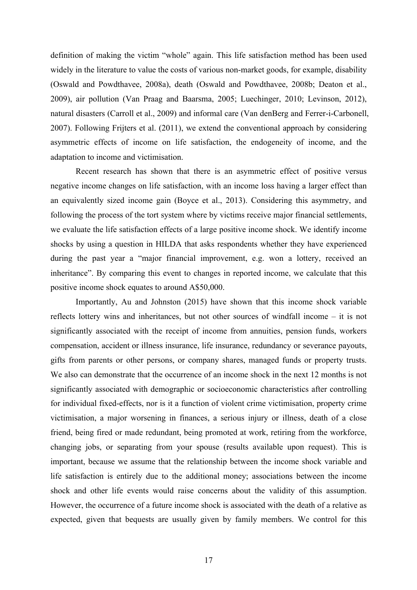definition of making the victim "whole" again. This life satisfaction method has been used widely in the literature to value the costs of various non-market goods, for example, disability (Oswald and Powdthavee, 2008a), death (Oswald and Powdthavee, 2008b; Deaton et al., 2009), air pollution (Van Praag and Baarsma, 2005; Luechinger, 2010; Levinson, 2012), natural disasters (Carroll et al., 2009) and informal care (Van denBerg and Ferrer-i-Carbonell, 2007). Following Frijters et al. (2011), we extend the conventional approach by considering asymmetric effects of income on life satisfaction, the endogeneity of income, and the adaptation to income and victimisation.

Recent research has shown that there is an asymmetric effect of positive versus negative income changes on life satisfaction, with an income loss having a larger effect than an equivalently sized income gain (Boyce et al., 2013). Considering this asymmetry, and following the process of the tort system where by victims receive major financial settlements, we evaluate the life satisfaction effects of a large positive income shock. We identify income shocks by using a question in HILDA that asks respondents whether they have experienced during the past year a "major financial improvement, e.g. won a lottery, received an inheritance". By comparing this event to changes in reported income, we calculate that this positive income shock equates to around A\$50,000.

Importantly, Au and Johnston (2015) have shown that this income shock variable reflects lottery wins and inheritances, but not other sources of windfall income – it is not significantly associated with the receipt of income from annuities, pension funds, workers compensation, accident or illness insurance, life insurance, redundancy or severance payouts, gifts from parents or other persons, or company shares, managed funds or property trusts. We also can demonstrate that the occurrence of an income shock in the next 12 months is not significantly associated with demographic or socioeconomic characteristics after controlling for individual fixed-effects, nor is it a function of violent crime victimisation, property crime victimisation, a major worsening in finances, a serious injury or illness, death of a close friend, being fired or made redundant, being promoted at work, retiring from the workforce, changing jobs, or separating from your spouse (results available upon request). This is important, because we assume that the relationship between the income shock variable and life satisfaction is entirely due to the additional money; associations between the income shock and other life events would raise concerns about the validity of this assumption. However, the occurrence of a future income shock is associated with the death of a relative as expected, given that bequests are usually given by family members. We control for this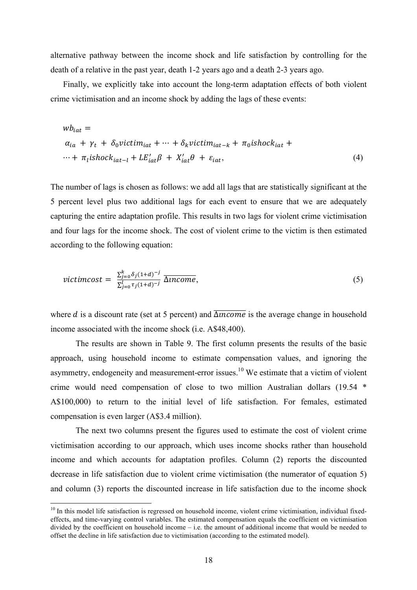alternative pathway between the income shock and life satisfaction by controlling for the death of a relative in the past year, death 1-2 years ago and a death 2-3 years ago.

Finally, we explicitly take into account the long-term adaptation effects of both violent crime victimisation and an income shock by adding the lags of these events:

$$
wb_{iat} =
$$
  
\n
$$
\alpha_{ia} + \gamma_t + \delta_0 \text{victim}_{iat} + \dots + \delta_k \text{victim}_{iat-k} + \pi_0 \text{ishock}_{iat} +
$$
  
\n
$$
\dots + \pi_l \text{ishock}_{iat-l} + \text{LE}_{iat}^{\prime \prime} \beta + X_{iat}^{\prime} \theta + \varepsilon_{iat},
$$
\n(4)

The number of lags is chosen as follows: we add all lags that are statistically significant at the 5 percent level plus two additional lags for each event to ensure that we are adequately capturing the entire adaptation profile. This results in two lags for violent crime victimisation and four lags for the income shock. The cost of violent crime to the victim is then estimated according to the following equation:

$$
victimcost = \frac{\sum_{j=0}^{k} \delta_j (1+d)^{-j}}{\sum_{j=0}^{l} \tau_j (1+d)^{-j}} \overline{\Delta income},
$$
\n(5)

where *d* is a discount rate (set at 5 percent) and  $\overline{\Delta$ *income* is the average change in household income associated with the income shock (i.e. A\$48,400).

The results are shown in Table 9. The first column presents the results of the basic approach, using household income to estimate compensation values, and ignoring the asymmetry, endogeneity and measurement-error issues.<sup>10</sup> We estimate that a victim of violent crime would need compensation of close to two million Australian dollars (19.54 \* A\$100,000) to return to the initial level of life satisfaction. For females, estimated compensation is even larger (A\$3.4 million).

The next two columns present the figures used to estimate the cost of violent crime victimisation according to our approach, which uses income shocks rather than household income and which accounts for adaptation profiles. Column (2) reports the discounted decrease in life satisfaction due to violent crime victimisation (the numerator of equation 5) and column (3) reports the discounted increase in life satisfaction due to the income shock

<sup>&</sup>lt;sup>10</sup> In this model life satisfaction is regressed on household income, violent crime victimisation, individual fixedeffects, and time-varying control variables. The estimated compensation equals the coefficient on victimisation divided by the coefficient on household income – i.e. the amount of additional income that would be needed to offset the decline in life satisfaction due to victimisation (according to the estimated model).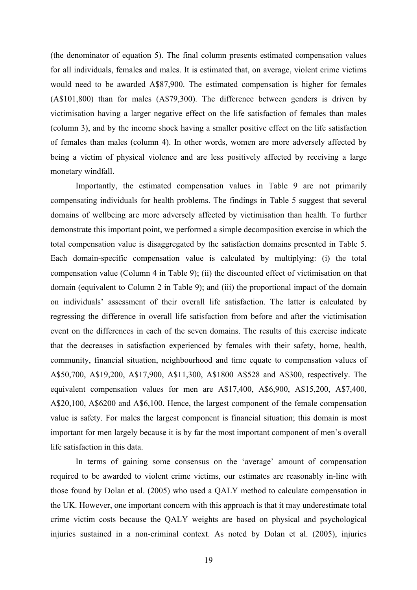(the denominator of equation 5). The final column presents estimated compensation values for all individuals, females and males. It is estimated that, on average, violent crime victims would need to be awarded A\$87,900. The estimated compensation is higher for females (A\$101,800) than for males (A\$79,300). The difference between genders is driven by victimisation having a larger negative effect on the life satisfaction of females than males (column 3), and by the income shock having a smaller positive effect on the life satisfaction of females than males (column 4). In other words, women are more adversely affected by being a victim of physical violence and are less positively affected by receiving a large monetary windfall.

Importantly, the estimated compensation values in Table 9 are not primarily compensating individuals for health problems. The findings in Table 5 suggest that several domains of wellbeing are more adversely affected by victimisation than health. To further demonstrate this important point, we performed a simple decomposition exercise in which the total compensation value is disaggregated by the satisfaction domains presented in Table 5. Each domain-specific compensation value is calculated by multiplying: (i) the total compensation value (Column 4 in Table 9); (ii) the discounted effect of victimisation on that domain (equivalent to Column 2 in Table 9); and (iii) the proportional impact of the domain on individuals' assessment of their overall life satisfaction. The latter is calculated by regressing the difference in overall life satisfaction from before and after the victimisation event on the differences in each of the seven domains. The results of this exercise indicate that the decreases in satisfaction experienced by females with their safety, home, health, community, financial situation, neighbourhood and time equate to compensation values of A\$50,700, A\$19,200, A\$17,900, A\$11,300, A\$1800 A\$528 and A\$300, respectively. The equivalent compensation values for men are A\$17,400, A\$6,900, A\$15,200, A\$7,400, A\$20,100, A\$6200 and A\$6,100. Hence, the largest component of the female compensation value is safety. For males the largest component is financial situation; this domain is most important for men largely because it is by far the most important component of men's overall life satisfaction in this data.

In terms of gaining some consensus on the 'average' amount of compensation required to be awarded to violent crime victims, our estimates are reasonably in-line with those found by Dolan et al. (2005) who used a QALY method to calculate compensation in the UK. However, one important concern with this approach is that it may underestimate total crime victim costs because the QALY weights are based on physical and psychological injuries sustained in a non-criminal context. As noted by Dolan et al. (2005), injuries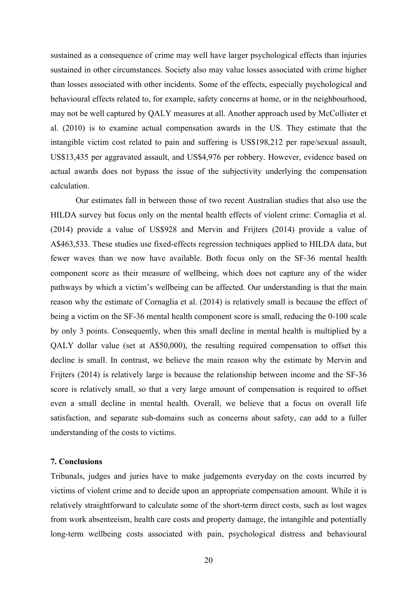sustained as a consequence of crime may well have larger psychological effects than injuries sustained in other circumstances. Society also may value losses associated with crime higher than losses associated with other incidents. Some of the effects, especially psychological and behavioural effects related to, for example, safety concerns at home, or in the neighbourhood, may not be well captured by QALY measures at all. Another approach used by McCollister et al. (2010) is to examine actual compensation awards in the US. They estimate that the intangible victim cost related to pain and suffering is US\$198,212 per rape/sexual assault, US\$13,435 per aggravated assault, and US\$4,976 per robbery. However, evidence based on actual awards does not bypass the issue of the subjectivity underlying the compensation calculation.

Our estimates fall in between those of two recent Australian studies that also use the HILDA survey but focus only on the mental health effects of violent crime: Cornaglia et al. (2014) provide a value of US\$928 and Mervin and Frijters (2014) provide a value of A\$463,533. These studies use fixed-effects regression techniques applied to HILDA data, but fewer waves than we now have available. Both focus only on the SF-36 mental health component score as their measure of wellbeing, which does not capture any of the wider pathways by which a victim's wellbeing can be affected. Our understanding is that the main reason why the estimate of Cornaglia et al. (2014) is relatively small is because the effect of being a victim on the SF-36 mental health component score is small, reducing the 0-100 scale by only 3 points. Consequently, when this small decline in mental health is multiplied by a QALY dollar value (set at A\$50,000), the resulting required compensation to offset this decline is small. In contrast, we believe the main reason why the estimate by Mervin and Frijters (2014) is relatively large is because the relationship between income and the SF-36 score is relatively small, so that a very large amount of compensation is required to offset even a small decline in mental health. Overall, we believe that a focus on overall life satisfaction, and separate sub-domains such as concerns about safety, can add to a fuller understanding of the costs to victims.

#### **7. Conclusions**

Tribunals, judges and juries have to make judgements everyday on the costs incurred by victims of violent crime and to decide upon an appropriate compensation amount. While it is relatively straightforward to calculate some of the short-term direct costs, such as lost wages from work absenteeism, health care costs and property damage, the intangible and potentially long-term wellbeing costs associated with pain, psychological distress and behavioural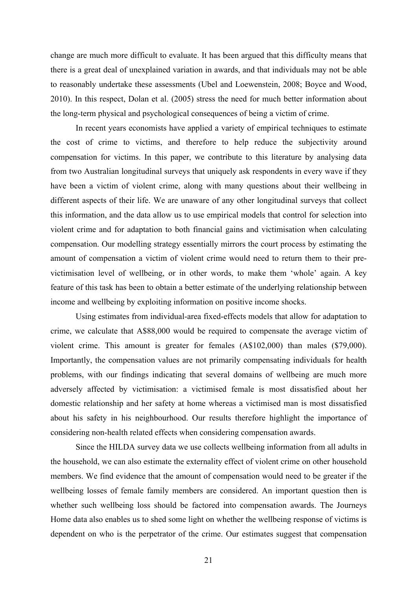change are much more difficult to evaluate. It has been argued that this difficulty means that there is a great deal of unexplained variation in awards, and that individuals may not be able to reasonably undertake these assessments (Ubel and Loewenstein, 2008; Boyce and Wood, 2010). In this respect, Dolan et al. (2005) stress the need for much better information about the long-term physical and psychological consequences of being a victim of crime.

In recent years economists have applied a variety of empirical techniques to estimate the cost of crime to victims, and therefore to help reduce the subjectivity around compensation for victims. In this paper, we contribute to this literature by analysing data from two Australian longitudinal surveys that uniquely ask respondents in every wave if they have been a victim of violent crime, along with many questions about their wellbeing in different aspects of their life. We are unaware of any other longitudinal surveys that collect this information, and the data allow us to use empirical models that control for selection into violent crime and for adaptation to both financial gains and victimisation when calculating compensation. Our modelling strategy essentially mirrors the court process by estimating the amount of compensation a victim of violent crime would need to return them to their previctimisation level of wellbeing, or in other words, to make them 'whole' again. A key feature of this task has been to obtain a better estimate of the underlying relationship between income and wellbeing by exploiting information on positive income shocks.

Using estimates from individual-area fixed-effects models that allow for adaptation to crime, we calculate that A\$88,000 would be required to compensate the average victim of violent crime. This amount is greater for females (A\$102,000) than males (\$79,000). Importantly, the compensation values are not primarily compensating individuals for health problems, with our findings indicating that several domains of wellbeing are much more adversely affected by victimisation: a victimised female is most dissatisfied about her domestic relationship and her safety at home whereas a victimised man is most dissatisfied about his safety in his neighbourhood. Our results therefore highlight the importance of considering non-health related effects when considering compensation awards.

Since the HILDA survey data we use collects wellbeing information from all adults in the household, we can also estimate the externality effect of violent crime on other household members. We find evidence that the amount of compensation would need to be greater if the wellbeing losses of female family members are considered. An important question then is whether such wellbeing loss should be factored into compensation awards. The Journeys Home data also enables us to shed some light on whether the wellbeing response of victims is dependent on who is the perpetrator of the crime. Our estimates suggest that compensation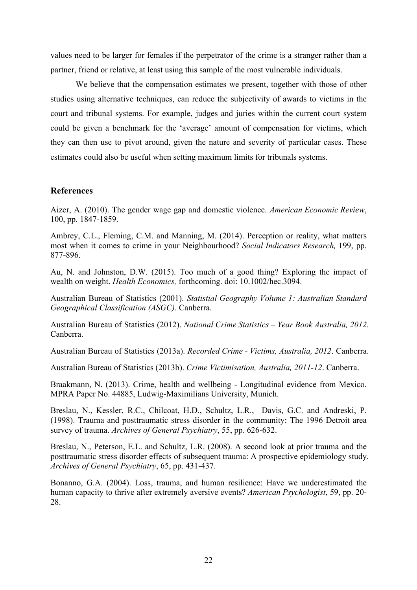values need to be larger for females if the perpetrator of the crime is a stranger rather than a partner, friend or relative, at least using this sample of the most vulnerable individuals.

We believe that the compensation estimates we present, together with those of other studies using alternative techniques, can reduce the subjectivity of awards to victims in the court and tribunal systems. For example, judges and juries within the current court system could be given a benchmark for the 'average' amount of compensation for victims, which they can then use to pivot around, given the nature and severity of particular cases. These estimates could also be useful when setting maximum limits for tribunals systems.

#### **References**

Aizer, A. (2010). The gender wage gap and domestic violence. *American Economic Review*, 100, pp. 1847-1859.

Ambrey, C.L., Fleming, C.M. and Manning, M. (2014). Perception or reality, what matters most when it comes to crime in your Neighbourhood? *Social Indicators Research,* 199, pp. 877-896.

Au, N. and Johnston, D.W. (2015). Too much of a good thing? Exploring the impact of wealth on weight. *Health Economics,* forthcoming. doi: 10.1002/hec.3094.

Australian Bureau of Statistics (2001). *Statistial Geography Volume 1: Australian Standard Geographical Classification (ASGC)*. Canberra.

Australian Bureau of Statistics (2012). *National Crime Statistics – Year Book Australia, 2012*. Canberra.

Australian Bureau of Statistics (2013a). *Recorded Crime - Victims, Australia, 2012*. Canberra.

Australian Bureau of Statistics (2013b). *Crime Victimisation, Australia, 2011-12*. Canberra.

Braakmann, N. (2013). Crime, health and wellbeing - Longitudinal evidence from Mexico. MPRA Paper No. 44885, Ludwig-Maximilians University, Munich.

Breslau, N., Kessler, R.C., Chilcoat, H.D., Schultz, L.R., Davis, G.C. and Andreski, P. (1998). Trauma and posttraumatic stress disorder in the community: The 1996 Detroit area survey of trauma. *Archives of General Psychiatry*, 55, pp. 626-632.

Breslau, N., Peterson, E.L. and Schultz, L.R. (2008). A second look at prior trauma and the posttraumatic stress disorder effects of subsequent trauma: A prospective epidemiology study. *Archives of General Psychiatry*, 65, pp. 431-437.

Bonanno, G.A. (2004). Loss, trauma, and human resilience: Have we underestimated the human capacity to thrive after extremely aversive events? *American Psychologist*, 59, pp. 20- 28.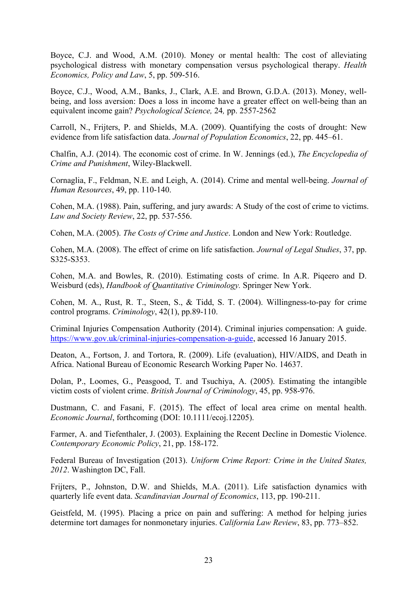Boyce, C.J. and Wood, A.M. (2010). Money or mental health: The cost of alleviating psychological distress with monetary compensation versus psychological therapy. *Health Economics, Policy and Law*, 5, pp. 509-516.

Boyce, C.J., Wood, A.M., Banks, J., Clark, A.E. and Brown, G.D.A. (2013). Money, wellbeing, and loss aversion: Does a loss in income have a greater effect on well-being than an equivalent income gain? *Psychological Science,* 24*,* pp. 2557-2562

Carroll, N., Frijters, P. and Shields, M.A. (2009). Quantifying the costs of drought: New evidence from life satisfaction data. *Journal of Population Economics*, 22, pp. 445–61.

Chalfin, A.J. (2014). The economic cost of crime. In W. Jennings (ed.), *The Encyclopedia of Crime and Punishment*, Wiley-Blackwell.

Cornaglia, F., Feldman, N.E. and Leigh, A. (2014). Crime and mental well-being. *Journal of Human Resources*, 49, pp. 110-140.

Cohen, M.A. (1988). Pain, suffering, and jury awards: A Study of the cost of crime to victims. *Law and Society Review*, 22, pp. 537-556.

Cohen, M.A. (2005). *The Costs of Crime and Justice*. London and New York: Routledge.

Cohen, M.A. (2008). The effect of crime on life satisfaction. *Journal of Legal Studies*, 37, pp. S325-S353.

Cohen, M.A. and Bowles, R. (2010). Estimating costs of crime. In A.R. Piqeero and D. Weisburd (eds), *Handbook of Quantitative Criminology.* Springer New York.

Cohen, M. A., Rust, R. T., Steen, S., & Tidd, S. T. (2004). Willingness-to-pay for crime control programs. *Criminology*, 42(1), pp.89-110.

Criminal Injuries Compensation Authority (2014). Criminal injuries compensation: A guide. https://www.gov.uk/criminal-injuries-compensation-a-guide, accessed 16 January 2015.

Deaton, A., Fortson, J. and Tortora, R. (2009). Life (evaluation), HIV/AIDS, and Death in Africa. National Bureau of Economic Research Working Paper No. 14637.

Dolan, P., Loomes, G., Peasgood, T. and Tsuchiya, A. (2005). Estimating the intangible victim costs of violent crime. *British Journal of Criminology*, 45, pp. 958-976.

Dustmann, C. and Fasani, F. (2015). The effect of local area crime on mental health. *Economic Journal*, forthcoming (DOI: 10.1111/ecoj.12205).

Farmer, A. and Tiefenthaler, J. (2003). Explaining the Recent Decline in Domestic Violence. *Contemporary Economic Policy*, 21, pp. 158-172.

Federal Bureau of Investigation (2013). *Uniform Crime Report: Crime in the United States, 2012*. Washington DC, Fall.

Frijters, P., Johnston, D.W. and Shields, M.A. (2011). Life satisfaction dynamics with quarterly life event data. *Scandinavian Journal of Economics*, 113, pp. 190-211.

Geistfeld, M. (1995). Placing a price on pain and suffering: A method for helping juries determine tort damages for nonmonetary injuries. *California Law Review*, 83, pp. 773–852.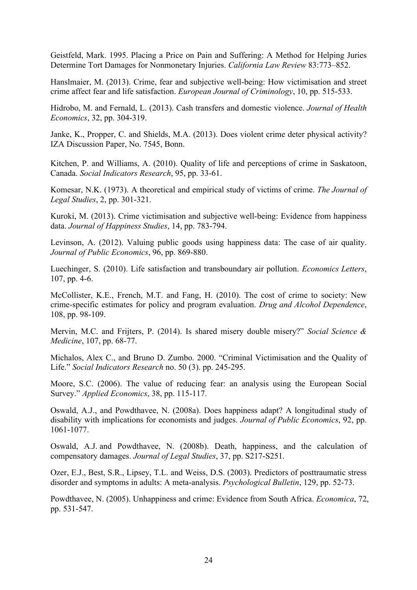Geistfeld, Mark. 1995. Placing a Price on Pain and Suffering: A Method for Helping Juries Determine Tort Damages for Nonmonetary Injuries. *California Law Review* 83:773–852.

Hanslmaier, M. (2013). Crime, fear and subjective well-being: How victimisation and street crime affect fear and life satisfaction. *European Journal of Criminology*, 10, pp. 515-533.

Hidrobo, M. and Fernald, L. (2013). Cash transfers and domestic violence. *Journal of Health Economics*, 32, pp. 304-319.

Janke, K., Propper, C. and Shields, M.A. (2013). Does violent crime deter physical activity? IZA Discussion Paper, No. 7545, Bonn.

Kitchen, P. and Williams, A. (2010). Quality of life and perceptions of crime in Saskatoon, Canada. *Social Indicators Research*, 95, pp. 33-61.

Komesar, N.K. (1973). A theoretical and empirical study of victims of crime. *The Journal of Legal Studies*, 2, pp. 301-321.

Kuroki, M. (2013). Crime victimisation and subjective well-being: Evidence from happiness data. *Journal of Happiness Studies*, 14, pp. 783-794.

Levinson, A. (2012). Valuing public goods using happiness data: The case of air quality. *Journal of Public Economics*, 96, pp. 869-880.

Luechinger, S. (2010). Life satisfaction and transboundary air pollution. *Economics Letters*, 107, pp. 4-6.

McCollister, K.E., French, M.T. and Fang, H. (2010). The cost of crime to society: New crime-specific estimates for policy and program evaluation. *Drug and Alcohol Dependence*, 108, pp. 98-109.

Mervin, M.C. and Frijters, P. (2014). Is shared misery double misery?" *Social Science & Medicine*, 107, pp. 68-77.

Michalos, Alex C., and Bruno D. Zumbo. 2000. "Criminal Victimisation and the Quality of Life." *Social Indicators Research* no. 50 (3). pp. 245-295.

Moore, S.C. (2006). The value of reducing fear: an analysis using the European Social Survey." *Applied Economics*, 38, pp. 115-117.

Oswald, A.J., and Powdthavee, N. (2008a). Does happiness adapt? A longitudinal study of disability with implications for economists and judges. *Journal of Public Economics*, 92, pp. 1061-1077.

Oswald, A.J. and Powdthavee, N. (2008b). Death, happiness, and the calculation of compensatory damages. *Journal of Legal Studies*, 37, pp. S217-S251.

Ozer, E.J., Best, S.R., Lipsey, T.L. and Weiss, D.S. (2003). Predictors of posttraumatic stress disorder and symptoms in adults: A meta-analysis. *Psychological Bulletin*, 129, pp. 52-73.

Powdthavee, N. (2005). Unhappiness and crime: Evidence from South Africa. *Economica*, 72, pp. 531-547.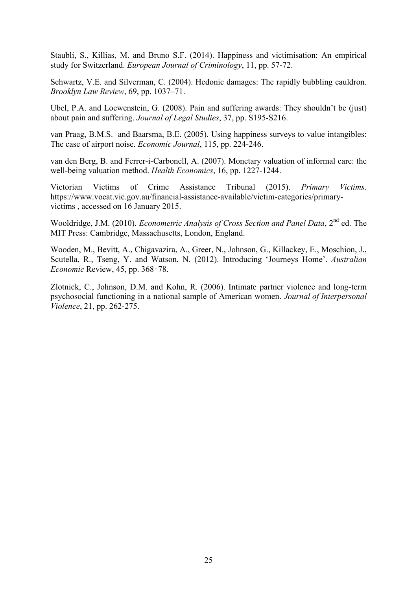Staubli, S., Killias, M. and Bruno S.F. (2014). Happiness and victimisation: An empirical study for Switzerland. *European Journal of Criminology*, 11, pp. 57-72.

Schwartz, V.E. and Silverman, C. (2004). Hedonic damages: The rapidly bubbling cauldron. *Brooklyn Law Review*, 69, pp. 1037–71.

Ubel, P.A. and Loewenstein, G. (2008). Pain and suffering awards: They shouldn't be (just) about pain and suffering. *Journal of Legal Studies*, 37, pp. S195-S216.

van Praag, B.M.S. and Baarsma, B.E. (2005). Using happiness surveys to value intangibles: The case of airport noise. *Economic Journal*, 115, pp. 224-246.

van den Berg, B. and Ferrer-i-Carbonell, A. (2007). Monetary valuation of informal care: the well-being valuation method. *Health Economics*, 16, pp. 1227-1244.

Victorian Victims of Crime Assistance Tribunal (2015). *Primary Victims*. https://www.vocat.vic.gov.au/financial-assistance-available/victim-categories/primaryvictims , accessed on 16 January 2015.

Wooldridge, J.M. (2010). *Econometric Analysis of Cross Section and Panel Data*, 2nd ed. The MIT Press: Cambridge, Massachusetts, London, England.

Wooden, M., Bevitt, A., Chigavazira, A., Greer, N., Johnson, G., Killackey, E., Moschion, J., Scutella, R., Tseng, Y. and Watson, N. (2012). Introducing 'Journeys Home'. *Australian Economic* Review, 45, pp. 368‑78.

Zlotnick, C., Johnson, D.M. and Kohn, R. (2006). Intimate partner violence and long-term psychosocial functioning in a national sample of American women. *Journal of Interpersonal Violence*, 21, pp. 262-275.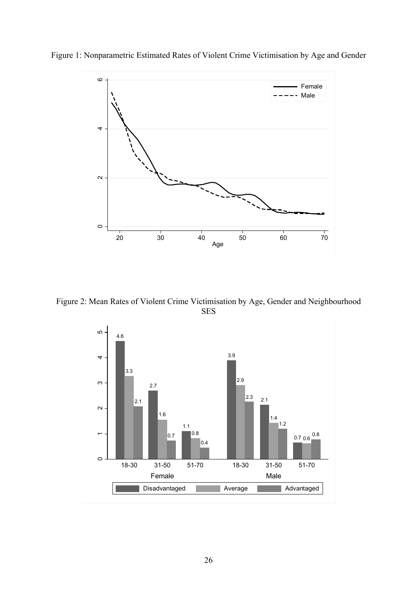



Figure 2: Mean Rates of Violent Crime Victimisation by Age, Gender and Neighbourhood SES

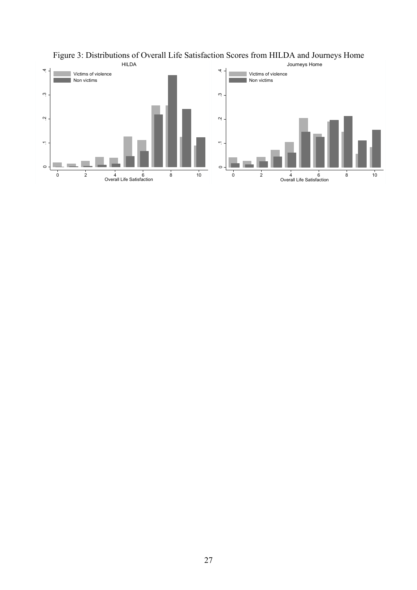

Figure 3: Distributions of Overall Life Satisfaction Scores from HILDA and Journeys Home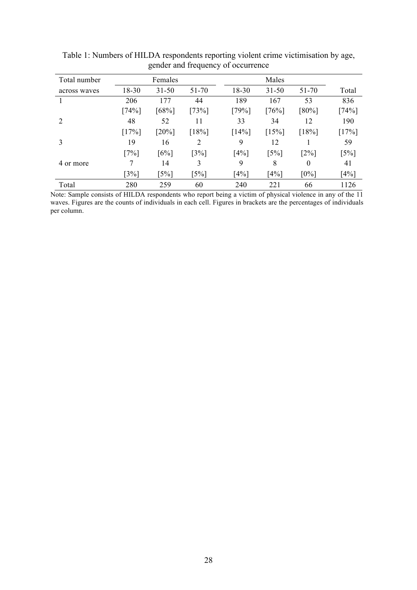| Total number                |         | Females             |                     |         | Males               |                     |                     |
|-----------------------------|---------|---------------------|---------------------|---------|---------------------|---------------------|---------------------|
| across waves                | 18-30   | $31 - 50$           | $51 - 70$           | 18-30   | $31 - 50$           | 51-70               | Total               |
|                             | 206     | 177                 | 44                  | 189     | 167                 | 53                  | 836                 |
|                             | $[74%]$ | [68%]               | [73%]               | [79%]   | $[76\%]$            | $[80\%]$            | $[74\%]$            |
| $\mathcal{D}_{\mathcal{L}}$ | 48      | 52                  | 11                  | 33      | 34                  | 12                  | 190                 |
|                             | [17%]   | $[20\%]$            | [18%]               | [14%]   | [15%]               | [18%]               | [17%]               |
| 3                           | 19      | 16                  | 2                   | 9       | 12                  |                     | 59                  |
|                             | $[7\%]$ | $[6\%]$             | $\left[3\% \right]$ | $[4\%]$ | $\lceil 5\% \rceil$ | $\lceil 2\% \rceil$ | $\left[5\% \right]$ |
| 4 or more                   | 7       | 14                  | 3                   | 9       | 8                   | $\theta$            | 41                  |
|                             | [3%]    | $\lceil 5\% \rceil$ | $\lceil 5\% \rceil$ | $[4\%]$ | $[4\%]$             | $[0\%]$             | $[4\%]$             |
| Total                       | 280     | 259                 | 60                  | 240     | 221                 | 66                  | 1126                |

Table 1: Numbers of HILDA respondents reporting violent crime victimisation by age, gender and frequency of occurrence

Note: Sample consists of HILDA respondents who report being a victim of physical violence in any of the 11 waves. Figures are the counts of individuals in each cell. Figures in brackets are the percentages of individuals per column.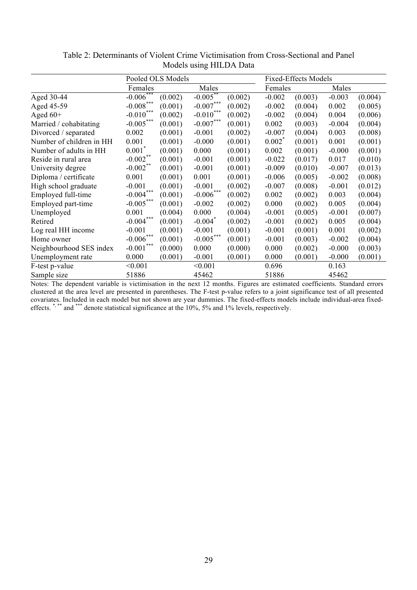|                          | Pooled OLS Models |         |                       |         | <b>Fixed-Effects Models</b> |         |          |         |
|--------------------------|-------------------|---------|-----------------------|---------|-----------------------------|---------|----------|---------|
|                          | Females           |         | Males                 |         | Females                     |         | Males    |         |
| Aged 30-44               | $-0.006***$       | (0.002) | $-0.005***$           | (0.002) | $-0.002$                    | (0.003) | $-0.003$ | (0.004) |
| Aged 45-59               | $-0.008***$       | (0.001) | $-0.007***$           | (0.002) | $-0.002$                    | (0.004) | 0.002    | (0.005) |
| Aged $60+$               | $-0.010***$       | (0.002) | $-0.010***$           | (0.002) | $-0.002$                    | (0.004) | 0.004    | (0.006) |
| Married / cohabitating   | $-0.005***$       | (0.001) | $-0.007***$           | (0.001) | 0.002                       | (0.003) | $-0.004$ | (0.004) |
| Divorced / separated     | 0.002             | (0.001) | $-0.001$              | (0.002) | $-0.007$                    | (0.004) | 0.003    | (0.008) |
| Number of children in HH | 0.001             | (0.001) | $-0.000$              | (0.001) | $0.002^{\degree}$           | (0.001) | 0.001    | (0.001) |
| Number of adults in HH   | $0.001^*$         | (0.001) | 0.000                 | (0.001) | 0.002                       | (0.001) | $-0.000$ | (0.001) |
| Reside in rural area     | $-0.002$ **       | (0.001) | $-0.001$              | (0.001) | $-0.022$                    | (0.017) | 0.017    | (0.010) |
| University degree        | $-0.002$ **       | (0.001) | $-0.001$              | (0.001) | $-0.009$                    | (0.010) | $-0.007$ | (0.013) |
| Diploma / certificate    | 0.001             | (0.001) | 0.001                 | (0.001) | $-0.006$                    | (0.005) | $-0.002$ | (0.008) |
| High school graduate     | $-0.001$          | (0.001) | $-0.001$              | (0.002) | $-0.007$                    | (0.008) | $-0.001$ | (0.012) |
| Employed full-time       | $-0.004***$       | (0.001) | $-0.006***$           | (0.002) | 0.002                       | (0.002) | 0.003    | (0.004) |
| Employed part-time       | $-0.005***$       | (0.001) | $-0.002$              | (0.002) | 0.000                       | (0.002) | 0.005    | (0.004) |
| Unemployed               | 0.001             | (0.004) | 0.000                 | (0.004) | $-0.001$                    | (0.005) | $-0.001$ | (0.007) |
| Retired                  | $-0.004***$       | (0.001) | $-0.004$ <sup>*</sup> | (0.002) | $-0.001$                    | (0.002) | 0.005    | (0.004) |
| Log real HH income       | $-0.001$          | (0.001) | $-0.001$              | (0.001) | $-0.001$                    | (0.001) | 0.001    | (0.002) |
| Home owner               | $-0.006***$       | (0.001) | $-0.005***$           | (0.001) | $-0.001$                    | (0.003) | $-0.002$ | (0.004) |
| Neighbourhood SES index  | $-0.001$          | (0.000) | 0.000                 | (0.000) | 0.000                       | (0.002) | $-0.000$ | (0.003) |
| Unemployment rate        | 0.000             | (0.001) | $-0.001$              | (0.001) | 0.000                       | (0.001) | $-0.000$ | (0.001) |
| F-test p-value           | < 0.001           |         | < 0.001               |         | 0.696                       |         | 0.163    |         |
| Sample size              | 51886             |         | 45462                 |         | 51886                       |         | 45462    |         |

Table 2: Determinants of Violent Crime Victimisation from Cross-Sectional and Panel Models using HILDA Data

Notes: The dependent variable is victimisation in the next 12 months. Figures are estimated coefficients. Standard errors clustered at the area level are presented in parentheses. The F-test p-value refers to a joint significance test of all presented covariates. Included in each model but not shown are year dummies. The fixed-effects models include individual-area fixedeffects. \*,\*\*\* and \*\*\* denote statistical significance at the 10%, 5% and 1% levels, respectively.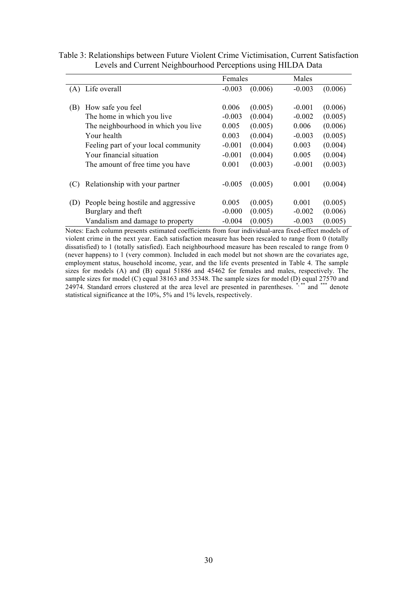|     |                                      | Females  |         | Males    |         |
|-----|--------------------------------------|----------|---------|----------|---------|
| (A) | Life overall                         | $-0.003$ | (0.006) | $-0.003$ | (0.006) |
| (B) | How safe you feel                    | 0.006    | (0.005) | $-0.001$ | (0.006) |
|     | The home in which you live           | $-0.003$ | (0.004) | $-0.002$ | (0.005) |
|     | The neighbourhood in which you live  | 0.005    | (0.005) | 0.006    | (0.006) |
|     | Your health                          | 0.003    | (0.004) | $-0.003$ | (0.005) |
|     | Feeling part of your local community | $-0.001$ | (0.004) | 0.003    | (0.004) |
|     | Your financial situation             | $-0.001$ | (0.004) | 0.005    | (0.004) |
|     | The amount of free time you have     | 0.001    | (0.003) | $-0.001$ | (0.003) |
| (C) | Relationship with your partner       | $-0.005$ | (0.005) | 0.001    | (0.004) |
| (D) | People being hostile and aggressive  | 0.005    | (0.005) | 0.001    | (0.005) |
|     | Burglary and theft                   | $-0.000$ | (0.005) | $-0.002$ | (0.006) |
|     | Vandalism and damage to property     | $-0.004$ | (0.005) | $-0.003$ | (0.005) |

Table 3: Relationships between Future Violent Crime Victimisation, Current Satisfaction Levels and Current Neighbourhood Perceptions using HILDA Data

Notes: Each column presents estimated coefficients from four individual-area fixed-effect models of violent crime in the next year. Each satisfaction measure has been rescaled to range from 0 (totally dissatisfied) to 1 (totally satisfied). Each neighbourhood measure has been rescaled to range from 0 (never happens) to 1 (very common). Included in each model but not shown are the covariates age, employment status, household income, year, and the life events presented in Table 4. The sample sizes for models (A) and (B) equal 51886 and 45462 for females and males, respectively. The sample sizes for model (C) equal 38163 and 35348. The sample sizes for model (D) equal 27570 and 24974. Standard errors clustered at the area level are presented in parentheses. \*,\*\*\* and \*\*\* denote statistical significance at the 10%, 5% and 1% levels, respectively.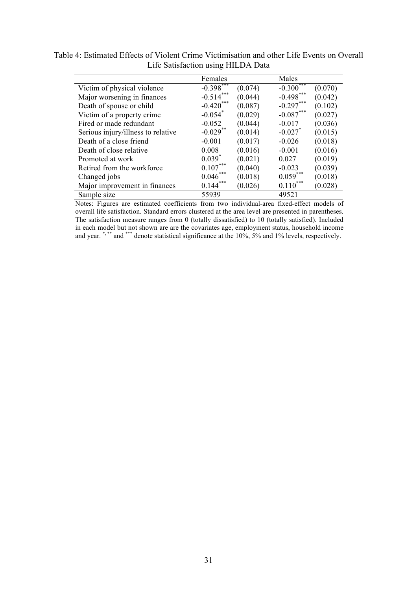|                                    | Females                 |         | Males       |         |
|------------------------------------|-------------------------|---------|-------------|---------|
| Victim of physical violence        | $-0.398$ <sup>***</sup> | (0.074) | $-0.300***$ | (0.070) |
| Major worsening in finances        | $-0.514***$             | (0.044) | $-0.498***$ | (0.042) |
| Death of spouse or child           | $-0.420***$             | (0.087) | $-0.297***$ | (0.102) |
| Victim of a property crime         | $-0.054$ <sup>*</sup>   | (0.029) | $-0.087***$ | (0.027) |
| Fired or made redundant            | $-0.052$                | (0.044) | $-0.017$    | (0.036) |
| Serious injury/illness to relative | $-0.029$ **             | (0.014) | $-0.027$ *  | (0.015) |
| Death of a close friend            | $-0.001$                | (0.017) | $-0.026$    | (0.018) |
| Death of close relative            | 0.008                   | (0.016) | $-0.001$    | (0.016) |
| Promoted at work                   | $0.039^{*}$             | (0.021) | 0.027       | (0.019) |
| Retired from the workforce         | $0.107***$              | (0.040) | $-0.023$    | (0.039) |
| Changed jobs                       | $0.046***$              | (0.018) | $0.059***$  | (0.018) |
| Major improvement in finances      | $0.144***$              | (0.026) | $0.110***$  | (0.028) |
| Sample size                        | 55939                   |         | 49521       |         |

Table 4: Estimated Effects of Violent Crime Victimisation and other Life Events on Overall Life Satisfaction using HILDA Data

Notes: Figures are estimated coefficients from two individual-area fixed-effect models of overall life satisfaction. Standard errors clustered at the area level are presented in parentheses. The satisfaction measure ranges from 0 (totally dissatisfied) to 10 (totally satisfied). Included in each model but not shown are are the covariates age, employment status, household income and year.  $\cdot$   $\cdot$  and  $\cdot$   $\cdot$  denote statistical significance at the 10%, 5% and 1% levels, respectively.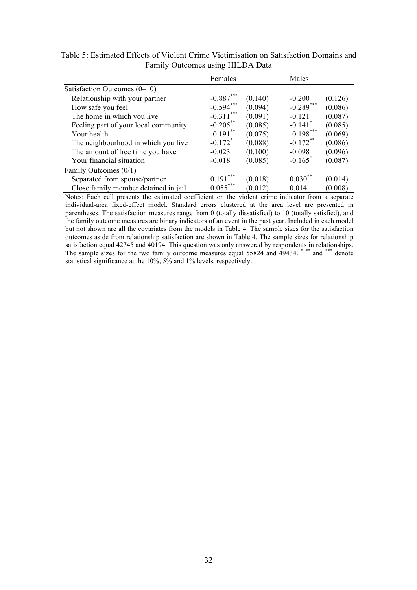|                                      | Females               |         | Males                 |         |
|--------------------------------------|-----------------------|---------|-----------------------|---------|
| Satisfaction Outcomes $(0-10)$       |                       |         |                       |         |
| Relationship with your partner       | $-0.887***$           | (0.140) | $-0.200$              | (0.126) |
| How safe you feel                    | $-0.594***$           | (0.094) | $-0.289$ ***          | (0.086) |
| The home in which you live           | $-0.311$ ***          | (0.091) | $-0.121$              | (0.087) |
| Feeling part of your local community | $-0.205$ **           | (0.085) | $-0.141$ <sup>*</sup> | (0.085) |
| Your health                          | $-0.191$ **           | (0.075) | $-0.198***$           | (0.069) |
| The neighbourhood in which you live  | $-0.172$ <sup>*</sup> | (0.088) | $-0.172$ **           | (0.086) |
| The amount of free time you have     | $-0.023$              | (0.100) | $-0.098$              | (0.096) |
| Your financial situation             | $-0.018$              | (0.085) | $-0.165$ <sup>*</sup> | (0.087) |
| Family Outcomes (0/1)                |                       |         |                       |         |
| Separated from spouse/partner        | $0.191***$            | (0.018) | $0.030^{**}$          | (0.014) |
| Close family member detained in jail | $0.055***$            | (0.012) | 0.014                 | (0.008) |

Table 5: Estimated Effects of Violent Crime Victimisation on Satisfaction Domains and Family Outcomes using HILDA Data

Notes: Each cell presents the estimated coefficient on the violent crime indicator from a separate individual-area fixed-effect model. Standard errors clustered at the area level are presented in parentheses. The satisfaction measures range from 0 (totally dissatisfied) to 10 (totally satisfied), and the family outcome measures are binary indicators of an event in the past year. Included in each model but not shown are all the covariates from the models in Table 4. The sample sizes for the satisfaction outcomes aside from relationship satisfaction are shown in Table 4. The sample sizes for relationship satisfaction equal 42745 and 40194. This question was only answered by respondents in relationships. The sample sizes for the two family outcome measures equal 55824 and 49434. \*,\*\*\* and \*\*\* denote statistical significance at the 10%, 5% and 1% levels, respectively.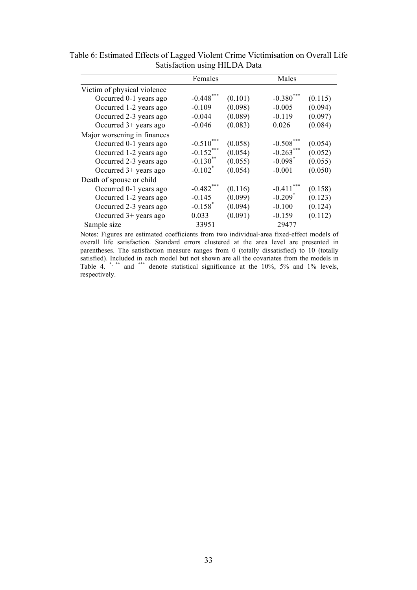|                             | Females               |         | Males                 |         |
|-----------------------------|-----------------------|---------|-----------------------|---------|
| Victim of physical violence |                       |         |                       |         |
| Occurred 0-1 years ago      | $-0.448***$           | (0.101) | $-0.380$ ***          | (0.115) |
| Occurred 1-2 years ago      | $-0.109$              | (0.098) | $-0.005$              | (0.094) |
| Occurred 2-3 years ago      | $-0.044$              | (0.089) | $-0.119$              | (0.097) |
| Occurred $3+$ years ago     | $-0.046$              | (0.083) | 0.026                 | (0.084) |
| Major worsening in finances |                       |         |                       |         |
| Occurred 0-1 years ago      | $-0.510***$           | (0.058) | $-0.508***$           | (0.054) |
| Occurred 1-2 years ago      | $-0.152***$           | (0.054) | $-0.263***$           | (0.052) |
| Occurred 2-3 years ago      | $-0.130**$            | (0.055) | $-0.098$ <sup>*</sup> | (0.055) |
| Occurred $3+$ years ago     | $-0.102$ <sup>*</sup> | (0.054) | $-0.001$              | (0.050) |
| Death of spouse or child    |                       |         |                       |         |
| Occurred 0-1 years ago      | $-0.482$ ***          | (0.116) | ***<br>$-0.411$       | (0.158) |
| Occurred 1-2 years ago      | $-0.145$              | (0.099) | $-0.209$ <sup>*</sup> | (0.123) |
| Occurred 2-3 years ago      | $-0.158$ <sup>*</sup> | (0.094) | $-0.100$              | (0.124) |
| Occurred $3+$ years ago     | 0.033                 | (0.091) | $-0.159$              | (0.112) |
| Sample size                 | 33951                 |         | 29477                 |         |

Table 6: Estimated Effects of Lagged Violent Crime Victimisation on Overall Life Satisfaction using HILDA Data

Notes: Figures are estimated coefficients from two individual-area fixed-effect models of overall life satisfaction. Standard errors clustered at the area level are presented in parentheses. The satisfaction measure ranges from 0 (totally dissatisfied) to 10 (totally satisfied). Included in each model but not shown are all the covariates from the models in Table 4. \*, \*\* and \*\*\* denote statistical significance at the 10%, 5% and 1% levels, respectively.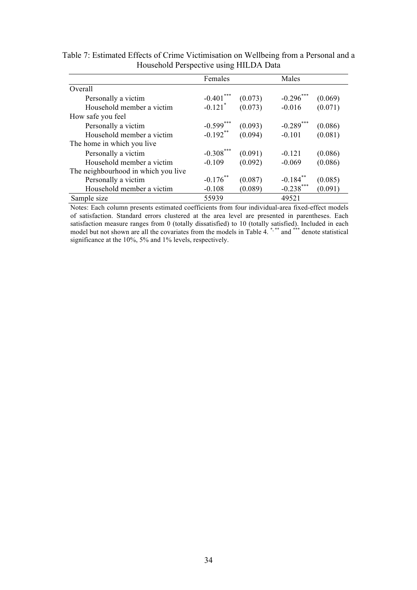|                                     | Females               |         | Males       |         |
|-------------------------------------|-----------------------|---------|-------------|---------|
| <i>Overall</i>                      |                       |         |             |         |
| Personally a victim                 | $-0.401***$           | (0.073) | $-0.296***$ | (0.069) |
| Household member a victim           | $-0.121$ <sup>*</sup> | (0.073) | $-0.016$    | (0.071) |
| How safe you feel                   |                       |         |             |         |
| Personally a victim                 | $-0.599***$           | (0.093) | $-0.289***$ | (0.086) |
| Household member a victim           | $-0.192$ **           | (0.094) | $-0.101$    | (0.081) |
| The home in which you live          |                       |         |             |         |
| Personally a victim                 | $-0.308***$           | (0.091) | $-0.121$    | (0.086) |
| Household member a victim           | $-0.109$              | (0.092) | $-0.069$    | (0.086) |
| The neighbourhood in which you live |                       |         |             |         |
| Personally a victim                 | $-0.176$ **           | (0.087) | $-0.184$ ** | (0.085) |
| Household member a victim           | $-0.108$              | (0.089) | $-0.238***$ | (0.091) |
| Sample size                         | 55939                 |         | 49521       |         |

Table 7: Estimated Effects of Crime Victimisation on Wellbeing from a Personal and a Household Perspective using HILDA Data

Notes: Each column presents estimated coefficients from four individual-area fixed-effect models of satisfaction. Standard errors clustered at the area level are presented in parentheses. Each satisfaction measure ranges from 0 (totally dissatisfied) to 10 (totally satisfied). Included in each model but not shown are all the covariates from the models in Table 4.<sup>\*\*\*\*</sup> and \*\*\*\* denote statistical significance at the 10%, 5% and 1% levels, respectively.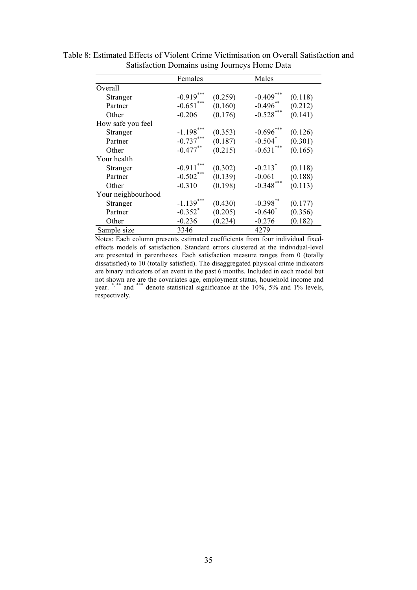|                    | Females               |         | Males                 |         |
|--------------------|-----------------------|---------|-----------------------|---------|
| Overall            |                       |         |                       |         |
| Stranger           | $-0.919***$           | (0.259) | $-0.409***$           | (0.118) |
| Partner            | $-0.651***$           | (0.160) | $-0.496**$            | (0.212) |
| Other              | $-0.206$              | (0.176) | $-0.528***$           | (0.141) |
| How safe you feel  |                       |         |                       |         |
| Stranger           | $-1.198***$           | (0.353) | $-0.696***$           | (0.126) |
| Partner            | $-0.737***$           | (0.187) | $-0.504$ <sup>*</sup> | (0.301) |
| Other              | $-0.477***$           | (0.215) | $-0.631***$           | (0.165) |
| Your health        |                       |         |                       |         |
| Stranger           | ***<br>$-0.911$       | (0.302) | $-0.213$ <sup>*</sup> | (0.118) |
| Partner            | $-0.502***$           | (0.139) | $-0.061$              | (0.188) |
| Other              | $-0.310$              | (0.198) | $-0.348***$           | (0.113) |
| Your neighbourhood |                       |         |                       |         |
| Stranger           | $-1.139$              | (0.430) | $-0.398$ <sup>*</sup> | (0.177) |
| Partner            | $-0.352$ <sup>*</sup> | (0.205) | $-0.640^*$            | (0.356) |
| Other              | $-0.236$              | (0.234) | $-0.276$              | (0.182) |
| Sample size        | 3346                  |         | 4279                  |         |

Table 8: Estimated Effects of Violent Crime Victimisation on Overall Satisfaction and Satisfaction Domains using Journeys Home Data

Notes: Each column presents estimated coefficients from four individual fixedeffects models of satisfaction. Standard errors clustered at the individual-level are presented in parentheses. Each satisfaction measure ranges from 0 (totally dissatisfied) to 10 (totally satisfied). The disaggregated physical crime indicators are binary indicators of an event in the past 6 months. Included in each model but not shown are are the covariates age, employment status, household income and year. \*,\*\*\* and \*\*\*\* denote statistical significance at the 10%, 5% and 1% levels, respectively.